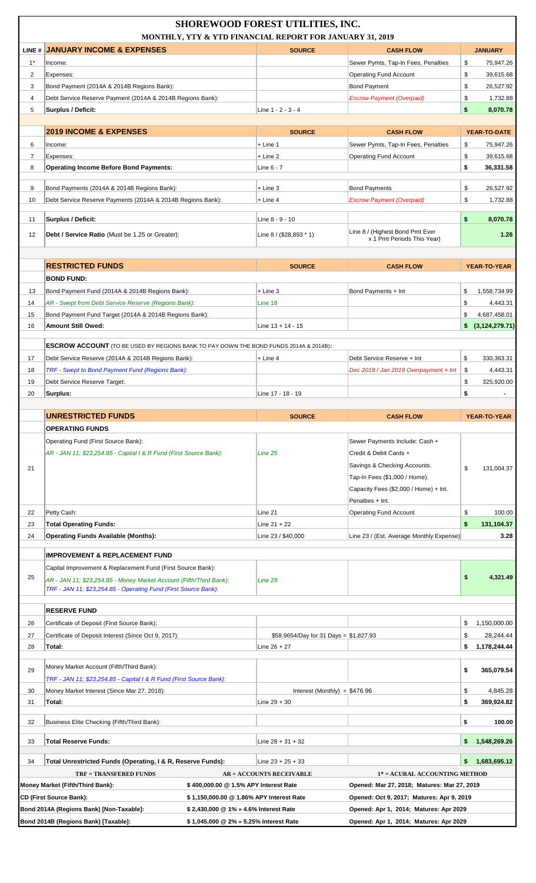| LINE # JANUARY INCOME & EXPENSES<br><b>SOURCE</b><br><b>CASH FLOW</b><br><b>JANUARY</b><br>$1^*$<br>Sewer Pymts, Tap-In Fees, Penalties<br>\$<br>75,947.26<br>Income:<br>\$<br>2<br><b>Operating Fund Account</b><br>39,615.68<br>Expenses:<br><b>Bond Payment</b><br>\$<br>3<br>Bond Payment (2014A & 2014B Regions Bank):<br>26,527.92<br>\$<br>$\overline{4}$<br>Debt Service Reserve Payment (2014A & 2014B Regions Bank):<br><b>Escrow Payment (Overpaid)</b><br>1,732.88<br>\$<br>5<br><b>Surplus / Deficit:</b><br>Line 1 - 2 - 3 - 4<br>8,070.78<br><b>2019 INCOME &amp; EXPENSES</b><br><b>SOURCE</b><br><b>CASH FLOW</b><br>YEAR-TO-DATE<br>Sewer Pymts, Tap-In Fees, Penalties<br>75,947.26<br>6<br>$+$ Line 1<br>\$<br>Income:<br>\$<br>$\overline{7}$<br>Expenses:<br>$+$ Line 2<br><b>Operating Fund Account</b><br>39,615.68<br>\$<br><b>Operating Income Before Bond Payments:</b><br>36,331.58<br>8<br>Line 6 - 7<br>9<br>\$<br>Bond Payments (2014A & 2014B Regions Bank):<br>+ Line 3<br><b>Bond Payments</b><br>26,527.92<br>\$<br>10<br>Debt Service Reserve Payments (2014A & 2014B Regions Bank):<br>$+$ Line 4<br><b>Escrow Payment (Overpaid)</b><br>1,732.88<br>\$<br>Surplus / Deficit:<br>8,070.78<br>11<br>Line 8 - 9 - 10<br>Line 8 / (Highest Bond Pmt Ever<br>12<br>Line 8 / (\$28,893 * 1)<br>1.26<br>Debt / Service Ratio (Must be 1.25 or Greater):<br>x 1 Pmt Periods This Year)<br><b>RESTRICTED FUNDS</b><br><b>SOURCE</b><br><b>CASH FLOW</b><br><b>YEAR-TO-YEAR</b><br><b>BOND FUND:</b><br>13<br>Bond Payment Fund (2014A & 2014B Regions Bank):<br>$+$ Line 3<br>Bond Payments + Int<br>\$<br>1,558,734.99<br>14<br>AR - Swept from Debt Service Reserve (Regions Bank):<br>Line 18<br>\$<br>4,443.31<br>15<br>Bond Payment Fund Target (2014A & 2014B Regions Bank):<br>\$<br>4,687,458.01<br><b>Amount Still Owed:</b><br>(3, 124, 279.71)<br>16<br>Line $13 + 14 - 15$<br>\$<br><b>ESCROW ACCOUNT</b> (TO BE USED BY REGIONS BANK TO PAY DOWN THE BOND FUNDS 2014A & 2014B):<br>17<br>Debt Service Reserve (2014A & 2014B Regions Bank):<br>$+$ Line 4<br>Debt Service Reserve + Int<br>\$<br>330,363.31<br>18<br>TRF - Swept to Bond Payment Fund (Regions Bank):<br>Dec 2018 / Jan 2019 Overpayment + Int<br>\$<br>4,443.31<br>\$<br>19<br>Debt Service Reserve Target:<br>325,920.00<br>\$<br>20<br>Surplus:<br>Line 17 - 18 - 19<br><b>UNRESTRICTED FUNDS</b><br><b>SOURCE</b><br><b>CASH FLOW</b><br>YEAR-TO-YEAR<br><b>OPERATING FUNDS</b><br>Operating Fund (First Source Bank):<br>Sewer Payments Include: Cash +<br>AR - JAN 11; \$23,254.85 - Capital I & R Fund (First Source Bank):<br>Line 25<br>Credit & Debit Cards +<br>Savings & Checking Accounts.<br>\$<br>21<br>131,004.37<br>Tap-In Fees (\$1,000 / Home).<br>Capacity Fees (\$2,000 / Home) + Int.<br>Penalties + Int.<br>Petty Cash:<br>Line 21<br><b>Operating Fund Account</b><br>\$<br>100.00<br>22<br>\$<br>23<br><b>Total Operating Funds:</b><br>$Line 21 + 22$<br>131,104.37<br>24<br><b>Operating Funds Available (Months):</b><br>Line 23 / \$40,000<br>Line 23 / (Est. Average Monthly Expense)<br>3.28<br><b>IMPROVEMENT &amp; REPLACEMENT FUND</b><br>Capital Improvement & Replacement Fund (First Source Bank):<br>\$<br>4,321.49<br>25<br>AR - JAN 11; \$23,254.85 - Money Market Account (Fifth/Third Bank):<br>Line 29<br>TRF - JAN 11; \$23,254.85 - Operating Fund (First Source Bank):<br><b>RESERVE FUND</b><br>26<br>Certificate of Deposit (First Source Bank):<br>1,150,000.00<br>\$<br>\$<br>Certificate of Deposit Interest (Since Oct 9, 2017):<br>\$58.9654/Day for 31 Days = $$1,827.93$<br>28,244.44<br>27<br>Total:<br>Line $26 + 27$<br>\$<br>1,178,244.44<br>28<br>Money Market Account (Fifth/Third Bank):<br>29<br>\$<br>365,079.54<br>TRF - JAN 11; \$23,254.85 - Capital I & R Fund (First Source Bank):<br>30<br>Money Market Interest (Since Mar 27, 2018):<br>Interest (Monthly) = $$476.96$<br>\$<br>4.845.28<br>31<br>Total:<br>Line $29 + 30$<br>\$<br>369,924.82<br>Business Elite Checking (Fifth/Third Bank):<br>\$<br>100.00<br>32<br><b>Total Reserve Funds:</b><br>1,548,269.26<br>33<br>Line $28 + 31 + 32$<br>\$<br>1.683.695.12<br>Total Unrestricted Funds (Operating, I & R, Reserve Funds):<br>34<br>Line $23 + 25 + 33$<br><b>TRF = TRANSFERED FUNDS</b><br><b>AR = ACCOUNTS RECEIVABLE</b><br>1* = ACURAL ACCOUNTING METHOD<br>Money Market (Fifth/Third Bank):<br>\$400,000.00 @ 1.5% APY Interest Rate<br>Opened: Mar 27, 2018; Matures: Mar 27, 2019<br>CD (First Source Bank):<br>\$1,150,000.00 @1.86% APY Interest Rate<br>Opened: Oct 9, 2017; Matures: Apr 9, 2019<br>Bond 2014A (Regions Bank) [Non-Taxable]:<br>\$2,430,000 @ 1% » 4.6% Interest Rate<br>Opened: Apr 1, 2014; Matures: Apr 2029 |                                      | <b>SHOREWOOD FOREST UTILITIES, INC.</b><br>MONTHLY, YTY & YTD FINANCIAL REPORT FOR JANUARY 31, 2019 |                                        |  |
|----------------------------------------------------------------------------------------------------------------------------------------------------------------------------------------------------------------------------------------------------------------------------------------------------------------------------------------------------------------------------------------------------------------------------------------------------------------------------------------------------------------------------------------------------------------------------------------------------------------------------------------------------------------------------------------------------------------------------------------------------------------------------------------------------------------------------------------------------------------------------------------------------------------------------------------------------------------------------------------------------------------------------------------------------------------------------------------------------------------------------------------------------------------------------------------------------------------------------------------------------------------------------------------------------------------------------------------------------------------------------------------------------------------------------------------------------------------------------------------------------------------------------------------------------------------------------------------------------------------------------------------------------------------------------------------------------------------------------------------------------------------------------------------------------------------------------------------------------------------------------------------------------------------------------------------------------------------------------------------------------------------------------------------------------------------------------------------------------------------------------------------------------------------------------------------------------------------------------------------------------------------------------------------------------------------------------------------------------------------------------------------------------------------------------------------------------------------------------------------------------------------------------------------------------------------------------------------------------------------------------------------------------------------------------------------------------------------------------------------------------------------------------------------------------------------------------------------------------------------------------------------------------------------------------------------------------------------------------------------------------------------------------------------------------------------------------------------------------------------------------------------------------------------------------------------------------------------------------------------------------------------------------------------------------------------------------------------------------------------------------------------------------------------------------------------------------------------------------------------------------------------------------------------------------------------------------------------------------------------------------------------------------------------------------------------------------------------------------------------------------------------------------------------------------------------------------------------------------------------------------------------------------------------------------------------------------------------------------------------------------------------------------------------------------------------------------------------------------------------------------------------------------------------------------------------------------------------------------------------------------------------------------------------------------------------------------------------------------------------------------------------------------------------------------------------------------------------------------------------------------------------------------------------------------------------------------------------------------------------------------------------------------------------------------------------------------------------------------------------------------------------------------------------|--------------------------------------|-----------------------------------------------------------------------------------------------------|----------------------------------------|--|
|                                                                                                                                                                                                                                                                                                                                                                                                                                                                                                                                                                                                                                                                                                                                                                                                                                                                                                                                                                                                                                                                                                                                                                                                                                                                                                                                                                                                                                                                                                                                                                                                                                                                                                                                                                                                                                                                                                                                                                                                                                                                                                                                                                                                                                                                                                                                                                                                                                                                                                                                                                                                                                                                                                                                                                                                                                                                                                                                                                                                                                                                                                                                                                                                                                                                                                                                                                                                                                                                                                                                                                                                                                                                                                                                                                                                                                                                                                                                                                                                                                                                                                                                                                                                                                                                                                                                                                                                                                                                                                                                                                                                                                                                                                                                                                                        |                                      |                                                                                                     |                                        |  |
|                                                                                                                                                                                                                                                                                                                                                                                                                                                                                                                                                                                                                                                                                                                                                                                                                                                                                                                                                                                                                                                                                                                                                                                                                                                                                                                                                                                                                                                                                                                                                                                                                                                                                                                                                                                                                                                                                                                                                                                                                                                                                                                                                                                                                                                                                                                                                                                                                                                                                                                                                                                                                                                                                                                                                                                                                                                                                                                                                                                                                                                                                                                                                                                                                                                                                                                                                                                                                                                                                                                                                                                                                                                                                                                                                                                                                                                                                                                                                                                                                                                                                                                                                                                                                                                                                                                                                                                                                                                                                                                                                                                                                                                                                                                                                                                        |                                      |                                                                                                     |                                        |  |
|                                                                                                                                                                                                                                                                                                                                                                                                                                                                                                                                                                                                                                                                                                                                                                                                                                                                                                                                                                                                                                                                                                                                                                                                                                                                                                                                                                                                                                                                                                                                                                                                                                                                                                                                                                                                                                                                                                                                                                                                                                                                                                                                                                                                                                                                                                                                                                                                                                                                                                                                                                                                                                                                                                                                                                                                                                                                                                                                                                                                                                                                                                                                                                                                                                                                                                                                                                                                                                                                                                                                                                                                                                                                                                                                                                                                                                                                                                                                                                                                                                                                                                                                                                                                                                                                                                                                                                                                                                                                                                                                                                                                                                                                                                                                                                                        |                                      |                                                                                                     |                                        |  |
|                                                                                                                                                                                                                                                                                                                                                                                                                                                                                                                                                                                                                                                                                                                                                                                                                                                                                                                                                                                                                                                                                                                                                                                                                                                                                                                                                                                                                                                                                                                                                                                                                                                                                                                                                                                                                                                                                                                                                                                                                                                                                                                                                                                                                                                                                                                                                                                                                                                                                                                                                                                                                                                                                                                                                                                                                                                                                                                                                                                                                                                                                                                                                                                                                                                                                                                                                                                                                                                                                                                                                                                                                                                                                                                                                                                                                                                                                                                                                                                                                                                                                                                                                                                                                                                                                                                                                                                                                                                                                                                                                                                                                                                                                                                                                                                        |                                      |                                                                                                     |                                        |  |
|                                                                                                                                                                                                                                                                                                                                                                                                                                                                                                                                                                                                                                                                                                                                                                                                                                                                                                                                                                                                                                                                                                                                                                                                                                                                                                                                                                                                                                                                                                                                                                                                                                                                                                                                                                                                                                                                                                                                                                                                                                                                                                                                                                                                                                                                                                                                                                                                                                                                                                                                                                                                                                                                                                                                                                                                                                                                                                                                                                                                                                                                                                                                                                                                                                                                                                                                                                                                                                                                                                                                                                                                                                                                                                                                                                                                                                                                                                                                                                                                                                                                                                                                                                                                                                                                                                                                                                                                                                                                                                                                                                                                                                                                                                                                                                                        |                                      |                                                                                                     |                                        |  |
|                                                                                                                                                                                                                                                                                                                                                                                                                                                                                                                                                                                                                                                                                                                                                                                                                                                                                                                                                                                                                                                                                                                                                                                                                                                                                                                                                                                                                                                                                                                                                                                                                                                                                                                                                                                                                                                                                                                                                                                                                                                                                                                                                                                                                                                                                                                                                                                                                                                                                                                                                                                                                                                                                                                                                                                                                                                                                                                                                                                                                                                                                                                                                                                                                                                                                                                                                                                                                                                                                                                                                                                                                                                                                                                                                                                                                                                                                                                                                                                                                                                                                                                                                                                                                                                                                                                                                                                                                                                                                                                                                                                                                                                                                                                                                                                        |                                      |                                                                                                     |                                        |  |
|                                                                                                                                                                                                                                                                                                                                                                                                                                                                                                                                                                                                                                                                                                                                                                                                                                                                                                                                                                                                                                                                                                                                                                                                                                                                                                                                                                                                                                                                                                                                                                                                                                                                                                                                                                                                                                                                                                                                                                                                                                                                                                                                                                                                                                                                                                                                                                                                                                                                                                                                                                                                                                                                                                                                                                                                                                                                                                                                                                                                                                                                                                                                                                                                                                                                                                                                                                                                                                                                                                                                                                                                                                                                                                                                                                                                                                                                                                                                                                                                                                                                                                                                                                                                                                                                                                                                                                                                                                                                                                                                                                                                                                                                                                                                                                                        |                                      |                                                                                                     |                                        |  |
|                                                                                                                                                                                                                                                                                                                                                                                                                                                                                                                                                                                                                                                                                                                                                                                                                                                                                                                                                                                                                                                                                                                                                                                                                                                                                                                                                                                                                                                                                                                                                                                                                                                                                                                                                                                                                                                                                                                                                                                                                                                                                                                                                                                                                                                                                                                                                                                                                                                                                                                                                                                                                                                                                                                                                                                                                                                                                                                                                                                                                                                                                                                                                                                                                                                                                                                                                                                                                                                                                                                                                                                                                                                                                                                                                                                                                                                                                                                                                                                                                                                                                                                                                                                                                                                                                                                                                                                                                                                                                                                                                                                                                                                                                                                                                                                        |                                      |                                                                                                     |                                        |  |
|                                                                                                                                                                                                                                                                                                                                                                                                                                                                                                                                                                                                                                                                                                                                                                                                                                                                                                                                                                                                                                                                                                                                                                                                                                                                                                                                                                                                                                                                                                                                                                                                                                                                                                                                                                                                                                                                                                                                                                                                                                                                                                                                                                                                                                                                                                                                                                                                                                                                                                                                                                                                                                                                                                                                                                                                                                                                                                                                                                                                                                                                                                                                                                                                                                                                                                                                                                                                                                                                                                                                                                                                                                                                                                                                                                                                                                                                                                                                                                                                                                                                                                                                                                                                                                                                                                                                                                                                                                                                                                                                                                                                                                                                                                                                                                                        |                                      |                                                                                                     |                                        |  |
|                                                                                                                                                                                                                                                                                                                                                                                                                                                                                                                                                                                                                                                                                                                                                                                                                                                                                                                                                                                                                                                                                                                                                                                                                                                                                                                                                                                                                                                                                                                                                                                                                                                                                                                                                                                                                                                                                                                                                                                                                                                                                                                                                                                                                                                                                                                                                                                                                                                                                                                                                                                                                                                                                                                                                                                                                                                                                                                                                                                                                                                                                                                                                                                                                                                                                                                                                                                                                                                                                                                                                                                                                                                                                                                                                                                                                                                                                                                                                                                                                                                                                                                                                                                                                                                                                                                                                                                                                                                                                                                                                                                                                                                                                                                                                                                        |                                      |                                                                                                     |                                        |  |
|                                                                                                                                                                                                                                                                                                                                                                                                                                                                                                                                                                                                                                                                                                                                                                                                                                                                                                                                                                                                                                                                                                                                                                                                                                                                                                                                                                                                                                                                                                                                                                                                                                                                                                                                                                                                                                                                                                                                                                                                                                                                                                                                                                                                                                                                                                                                                                                                                                                                                                                                                                                                                                                                                                                                                                                                                                                                                                                                                                                                                                                                                                                                                                                                                                                                                                                                                                                                                                                                                                                                                                                                                                                                                                                                                                                                                                                                                                                                                                                                                                                                                                                                                                                                                                                                                                                                                                                                                                                                                                                                                                                                                                                                                                                                                                                        |                                      |                                                                                                     |                                        |  |
|                                                                                                                                                                                                                                                                                                                                                                                                                                                                                                                                                                                                                                                                                                                                                                                                                                                                                                                                                                                                                                                                                                                                                                                                                                                                                                                                                                                                                                                                                                                                                                                                                                                                                                                                                                                                                                                                                                                                                                                                                                                                                                                                                                                                                                                                                                                                                                                                                                                                                                                                                                                                                                                                                                                                                                                                                                                                                                                                                                                                                                                                                                                                                                                                                                                                                                                                                                                                                                                                                                                                                                                                                                                                                                                                                                                                                                                                                                                                                                                                                                                                                                                                                                                                                                                                                                                                                                                                                                                                                                                                                                                                                                                                                                                                                                                        |                                      |                                                                                                     |                                        |  |
|                                                                                                                                                                                                                                                                                                                                                                                                                                                                                                                                                                                                                                                                                                                                                                                                                                                                                                                                                                                                                                                                                                                                                                                                                                                                                                                                                                                                                                                                                                                                                                                                                                                                                                                                                                                                                                                                                                                                                                                                                                                                                                                                                                                                                                                                                                                                                                                                                                                                                                                                                                                                                                                                                                                                                                                                                                                                                                                                                                                                                                                                                                                                                                                                                                                                                                                                                                                                                                                                                                                                                                                                                                                                                                                                                                                                                                                                                                                                                                                                                                                                                                                                                                                                                                                                                                                                                                                                                                                                                                                                                                                                                                                                                                                                                                                        |                                      |                                                                                                     |                                        |  |
|                                                                                                                                                                                                                                                                                                                                                                                                                                                                                                                                                                                                                                                                                                                                                                                                                                                                                                                                                                                                                                                                                                                                                                                                                                                                                                                                                                                                                                                                                                                                                                                                                                                                                                                                                                                                                                                                                                                                                                                                                                                                                                                                                                                                                                                                                                                                                                                                                                                                                                                                                                                                                                                                                                                                                                                                                                                                                                                                                                                                                                                                                                                                                                                                                                                                                                                                                                                                                                                                                                                                                                                                                                                                                                                                                                                                                                                                                                                                                                                                                                                                                                                                                                                                                                                                                                                                                                                                                                                                                                                                                                                                                                                                                                                                                                                        |                                      |                                                                                                     |                                        |  |
|                                                                                                                                                                                                                                                                                                                                                                                                                                                                                                                                                                                                                                                                                                                                                                                                                                                                                                                                                                                                                                                                                                                                                                                                                                                                                                                                                                                                                                                                                                                                                                                                                                                                                                                                                                                                                                                                                                                                                                                                                                                                                                                                                                                                                                                                                                                                                                                                                                                                                                                                                                                                                                                                                                                                                                                                                                                                                                                                                                                                                                                                                                                                                                                                                                                                                                                                                                                                                                                                                                                                                                                                                                                                                                                                                                                                                                                                                                                                                                                                                                                                                                                                                                                                                                                                                                                                                                                                                                                                                                                                                                                                                                                                                                                                                                                        |                                      |                                                                                                     |                                        |  |
|                                                                                                                                                                                                                                                                                                                                                                                                                                                                                                                                                                                                                                                                                                                                                                                                                                                                                                                                                                                                                                                                                                                                                                                                                                                                                                                                                                                                                                                                                                                                                                                                                                                                                                                                                                                                                                                                                                                                                                                                                                                                                                                                                                                                                                                                                                                                                                                                                                                                                                                                                                                                                                                                                                                                                                                                                                                                                                                                                                                                                                                                                                                                                                                                                                                                                                                                                                                                                                                                                                                                                                                                                                                                                                                                                                                                                                                                                                                                                                                                                                                                                                                                                                                                                                                                                                                                                                                                                                                                                                                                                                                                                                                                                                                                                                                        |                                      |                                                                                                     |                                        |  |
|                                                                                                                                                                                                                                                                                                                                                                                                                                                                                                                                                                                                                                                                                                                                                                                                                                                                                                                                                                                                                                                                                                                                                                                                                                                                                                                                                                                                                                                                                                                                                                                                                                                                                                                                                                                                                                                                                                                                                                                                                                                                                                                                                                                                                                                                                                                                                                                                                                                                                                                                                                                                                                                                                                                                                                                                                                                                                                                                                                                                                                                                                                                                                                                                                                                                                                                                                                                                                                                                                                                                                                                                                                                                                                                                                                                                                                                                                                                                                                                                                                                                                                                                                                                                                                                                                                                                                                                                                                                                                                                                                                                                                                                                                                                                                                                        |                                      |                                                                                                     |                                        |  |
|                                                                                                                                                                                                                                                                                                                                                                                                                                                                                                                                                                                                                                                                                                                                                                                                                                                                                                                                                                                                                                                                                                                                                                                                                                                                                                                                                                                                                                                                                                                                                                                                                                                                                                                                                                                                                                                                                                                                                                                                                                                                                                                                                                                                                                                                                                                                                                                                                                                                                                                                                                                                                                                                                                                                                                                                                                                                                                                                                                                                                                                                                                                                                                                                                                                                                                                                                                                                                                                                                                                                                                                                                                                                                                                                                                                                                                                                                                                                                                                                                                                                                                                                                                                                                                                                                                                                                                                                                                                                                                                                                                                                                                                                                                                                                                                        |                                      |                                                                                                     |                                        |  |
|                                                                                                                                                                                                                                                                                                                                                                                                                                                                                                                                                                                                                                                                                                                                                                                                                                                                                                                                                                                                                                                                                                                                                                                                                                                                                                                                                                                                                                                                                                                                                                                                                                                                                                                                                                                                                                                                                                                                                                                                                                                                                                                                                                                                                                                                                                                                                                                                                                                                                                                                                                                                                                                                                                                                                                                                                                                                                                                                                                                                                                                                                                                                                                                                                                                                                                                                                                                                                                                                                                                                                                                                                                                                                                                                                                                                                                                                                                                                                                                                                                                                                                                                                                                                                                                                                                                                                                                                                                                                                                                                                                                                                                                                                                                                                                                        |                                      |                                                                                                     |                                        |  |
|                                                                                                                                                                                                                                                                                                                                                                                                                                                                                                                                                                                                                                                                                                                                                                                                                                                                                                                                                                                                                                                                                                                                                                                                                                                                                                                                                                                                                                                                                                                                                                                                                                                                                                                                                                                                                                                                                                                                                                                                                                                                                                                                                                                                                                                                                                                                                                                                                                                                                                                                                                                                                                                                                                                                                                                                                                                                                                                                                                                                                                                                                                                                                                                                                                                                                                                                                                                                                                                                                                                                                                                                                                                                                                                                                                                                                                                                                                                                                                                                                                                                                                                                                                                                                                                                                                                                                                                                                                                                                                                                                                                                                                                                                                                                                                                        |                                      |                                                                                                     |                                        |  |
|                                                                                                                                                                                                                                                                                                                                                                                                                                                                                                                                                                                                                                                                                                                                                                                                                                                                                                                                                                                                                                                                                                                                                                                                                                                                                                                                                                                                                                                                                                                                                                                                                                                                                                                                                                                                                                                                                                                                                                                                                                                                                                                                                                                                                                                                                                                                                                                                                                                                                                                                                                                                                                                                                                                                                                                                                                                                                                                                                                                                                                                                                                                                                                                                                                                                                                                                                                                                                                                                                                                                                                                                                                                                                                                                                                                                                                                                                                                                                                                                                                                                                                                                                                                                                                                                                                                                                                                                                                                                                                                                                                                                                                                                                                                                                                                        |                                      |                                                                                                     |                                        |  |
|                                                                                                                                                                                                                                                                                                                                                                                                                                                                                                                                                                                                                                                                                                                                                                                                                                                                                                                                                                                                                                                                                                                                                                                                                                                                                                                                                                                                                                                                                                                                                                                                                                                                                                                                                                                                                                                                                                                                                                                                                                                                                                                                                                                                                                                                                                                                                                                                                                                                                                                                                                                                                                                                                                                                                                                                                                                                                                                                                                                                                                                                                                                                                                                                                                                                                                                                                                                                                                                                                                                                                                                                                                                                                                                                                                                                                                                                                                                                                                                                                                                                                                                                                                                                                                                                                                                                                                                                                                                                                                                                                                                                                                                                                                                                                                                        |                                      |                                                                                                     |                                        |  |
|                                                                                                                                                                                                                                                                                                                                                                                                                                                                                                                                                                                                                                                                                                                                                                                                                                                                                                                                                                                                                                                                                                                                                                                                                                                                                                                                                                                                                                                                                                                                                                                                                                                                                                                                                                                                                                                                                                                                                                                                                                                                                                                                                                                                                                                                                                                                                                                                                                                                                                                                                                                                                                                                                                                                                                                                                                                                                                                                                                                                                                                                                                                                                                                                                                                                                                                                                                                                                                                                                                                                                                                                                                                                                                                                                                                                                                                                                                                                                                                                                                                                                                                                                                                                                                                                                                                                                                                                                                                                                                                                                                                                                                                                                                                                                                                        |                                      |                                                                                                     |                                        |  |
|                                                                                                                                                                                                                                                                                                                                                                                                                                                                                                                                                                                                                                                                                                                                                                                                                                                                                                                                                                                                                                                                                                                                                                                                                                                                                                                                                                                                                                                                                                                                                                                                                                                                                                                                                                                                                                                                                                                                                                                                                                                                                                                                                                                                                                                                                                                                                                                                                                                                                                                                                                                                                                                                                                                                                                                                                                                                                                                                                                                                                                                                                                                                                                                                                                                                                                                                                                                                                                                                                                                                                                                                                                                                                                                                                                                                                                                                                                                                                                                                                                                                                                                                                                                                                                                                                                                                                                                                                                                                                                                                                                                                                                                                                                                                                                                        |                                      |                                                                                                     |                                        |  |
|                                                                                                                                                                                                                                                                                                                                                                                                                                                                                                                                                                                                                                                                                                                                                                                                                                                                                                                                                                                                                                                                                                                                                                                                                                                                                                                                                                                                                                                                                                                                                                                                                                                                                                                                                                                                                                                                                                                                                                                                                                                                                                                                                                                                                                                                                                                                                                                                                                                                                                                                                                                                                                                                                                                                                                                                                                                                                                                                                                                                                                                                                                                                                                                                                                                                                                                                                                                                                                                                                                                                                                                                                                                                                                                                                                                                                                                                                                                                                                                                                                                                                                                                                                                                                                                                                                                                                                                                                                                                                                                                                                                                                                                                                                                                                                                        |                                      |                                                                                                     |                                        |  |
|                                                                                                                                                                                                                                                                                                                                                                                                                                                                                                                                                                                                                                                                                                                                                                                                                                                                                                                                                                                                                                                                                                                                                                                                                                                                                                                                                                                                                                                                                                                                                                                                                                                                                                                                                                                                                                                                                                                                                                                                                                                                                                                                                                                                                                                                                                                                                                                                                                                                                                                                                                                                                                                                                                                                                                                                                                                                                                                                                                                                                                                                                                                                                                                                                                                                                                                                                                                                                                                                                                                                                                                                                                                                                                                                                                                                                                                                                                                                                                                                                                                                                                                                                                                                                                                                                                                                                                                                                                                                                                                                                                                                                                                                                                                                                                                        |                                      |                                                                                                     |                                        |  |
|                                                                                                                                                                                                                                                                                                                                                                                                                                                                                                                                                                                                                                                                                                                                                                                                                                                                                                                                                                                                                                                                                                                                                                                                                                                                                                                                                                                                                                                                                                                                                                                                                                                                                                                                                                                                                                                                                                                                                                                                                                                                                                                                                                                                                                                                                                                                                                                                                                                                                                                                                                                                                                                                                                                                                                                                                                                                                                                                                                                                                                                                                                                                                                                                                                                                                                                                                                                                                                                                                                                                                                                                                                                                                                                                                                                                                                                                                                                                                                                                                                                                                                                                                                                                                                                                                                                                                                                                                                                                                                                                                                                                                                                                                                                                                                                        |                                      |                                                                                                     |                                        |  |
|                                                                                                                                                                                                                                                                                                                                                                                                                                                                                                                                                                                                                                                                                                                                                                                                                                                                                                                                                                                                                                                                                                                                                                                                                                                                                                                                                                                                                                                                                                                                                                                                                                                                                                                                                                                                                                                                                                                                                                                                                                                                                                                                                                                                                                                                                                                                                                                                                                                                                                                                                                                                                                                                                                                                                                                                                                                                                                                                                                                                                                                                                                                                                                                                                                                                                                                                                                                                                                                                                                                                                                                                                                                                                                                                                                                                                                                                                                                                                                                                                                                                                                                                                                                                                                                                                                                                                                                                                                                                                                                                                                                                                                                                                                                                                                                        |                                      |                                                                                                     |                                        |  |
|                                                                                                                                                                                                                                                                                                                                                                                                                                                                                                                                                                                                                                                                                                                                                                                                                                                                                                                                                                                                                                                                                                                                                                                                                                                                                                                                                                                                                                                                                                                                                                                                                                                                                                                                                                                                                                                                                                                                                                                                                                                                                                                                                                                                                                                                                                                                                                                                                                                                                                                                                                                                                                                                                                                                                                                                                                                                                                                                                                                                                                                                                                                                                                                                                                                                                                                                                                                                                                                                                                                                                                                                                                                                                                                                                                                                                                                                                                                                                                                                                                                                                                                                                                                                                                                                                                                                                                                                                                                                                                                                                                                                                                                                                                                                                                                        |                                      |                                                                                                     |                                        |  |
|                                                                                                                                                                                                                                                                                                                                                                                                                                                                                                                                                                                                                                                                                                                                                                                                                                                                                                                                                                                                                                                                                                                                                                                                                                                                                                                                                                                                                                                                                                                                                                                                                                                                                                                                                                                                                                                                                                                                                                                                                                                                                                                                                                                                                                                                                                                                                                                                                                                                                                                                                                                                                                                                                                                                                                                                                                                                                                                                                                                                                                                                                                                                                                                                                                                                                                                                                                                                                                                                                                                                                                                                                                                                                                                                                                                                                                                                                                                                                                                                                                                                                                                                                                                                                                                                                                                                                                                                                                                                                                                                                                                                                                                                                                                                                                                        |                                      |                                                                                                     |                                        |  |
|                                                                                                                                                                                                                                                                                                                                                                                                                                                                                                                                                                                                                                                                                                                                                                                                                                                                                                                                                                                                                                                                                                                                                                                                                                                                                                                                                                                                                                                                                                                                                                                                                                                                                                                                                                                                                                                                                                                                                                                                                                                                                                                                                                                                                                                                                                                                                                                                                                                                                                                                                                                                                                                                                                                                                                                                                                                                                                                                                                                                                                                                                                                                                                                                                                                                                                                                                                                                                                                                                                                                                                                                                                                                                                                                                                                                                                                                                                                                                                                                                                                                                                                                                                                                                                                                                                                                                                                                                                                                                                                                                                                                                                                                                                                                                                                        |                                      |                                                                                                     |                                        |  |
|                                                                                                                                                                                                                                                                                                                                                                                                                                                                                                                                                                                                                                                                                                                                                                                                                                                                                                                                                                                                                                                                                                                                                                                                                                                                                                                                                                                                                                                                                                                                                                                                                                                                                                                                                                                                                                                                                                                                                                                                                                                                                                                                                                                                                                                                                                                                                                                                                                                                                                                                                                                                                                                                                                                                                                                                                                                                                                                                                                                                                                                                                                                                                                                                                                                                                                                                                                                                                                                                                                                                                                                                                                                                                                                                                                                                                                                                                                                                                                                                                                                                                                                                                                                                                                                                                                                                                                                                                                                                                                                                                                                                                                                                                                                                                                                        |                                      |                                                                                                     |                                        |  |
|                                                                                                                                                                                                                                                                                                                                                                                                                                                                                                                                                                                                                                                                                                                                                                                                                                                                                                                                                                                                                                                                                                                                                                                                                                                                                                                                                                                                                                                                                                                                                                                                                                                                                                                                                                                                                                                                                                                                                                                                                                                                                                                                                                                                                                                                                                                                                                                                                                                                                                                                                                                                                                                                                                                                                                                                                                                                                                                                                                                                                                                                                                                                                                                                                                                                                                                                                                                                                                                                                                                                                                                                                                                                                                                                                                                                                                                                                                                                                                                                                                                                                                                                                                                                                                                                                                                                                                                                                                                                                                                                                                                                                                                                                                                                                                                        |                                      |                                                                                                     |                                        |  |
|                                                                                                                                                                                                                                                                                                                                                                                                                                                                                                                                                                                                                                                                                                                                                                                                                                                                                                                                                                                                                                                                                                                                                                                                                                                                                                                                                                                                                                                                                                                                                                                                                                                                                                                                                                                                                                                                                                                                                                                                                                                                                                                                                                                                                                                                                                                                                                                                                                                                                                                                                                                                                                                                                                                                                                                                                                                                                                                                                                                                                                                                                                                                                                                                                                                                                                                                                                                                                                                                                                                                                                                                                                                                                                                                                                                                                                                                                                                                                                                                                                                                                                                                                                                                                                                                                                                                                                                                                                                                                                                                                                                                                                                                                                                                                                                        |                                      |                                                                                                     |                                        |  |
|                                                                                                                                                                                                                                                                                                                                                                                                                                                                                                                                                                                                                                                                                                                                                                                                                                                                                                                                                                                                                                                                                                                                                                                                                                                                                                                                                                                                                                                                                                                                                                                                                                                                                                                                                                                                                                                                                                                                                                                                                                                                                                                                                                                                                                                                                                                                                                                                                                                                                                                                                                                                                                                                                                                                                                                                                                                                                                                                                                                                                                                                                                                                                                                                                                                                                                                                                                                                                                                                                                                                                                                                                                                                                                                                                                                                                                                                                                                                                                                                                                                                                                                                                                                                                                                                                                                                                                                                                                                                                                                                                                                                                                                                                                                                                                                        |                                      |                                                                                                     |                                        |  |
|                                                                                                                                                                                                                                                                                                                                                                                                                                                                                                                                                                                                                                                                                                                                                                                                                                                                                                                                                                                                                                                                                                                                                                                                                                                                                                                                                                                                                                                                                                                                                                                                                                                                                                                                                                                                                                                                                                                                                                                                                                                                                                                                                                                                                                                                                                                                                                                                                                                                                                                                                                                                                                                                                                                                                                                                                                                                                                                                                                                                                                                                                                                                                                                                                                                                                                                                                                                                                                                                                                                                                                                                                                                                                                                                                                                                                                                                                                                                                                                                                                                                                                                                                                                                                                                                                                                                                                                                                                                                                                                                                                                                                                                                                                                                                                                        |                                      |                                                                                                     |                                        |  |
|                                                                                                                                                                                                                                                                                                                                                                                                                                                                                                                                                                                                                                                                                                                                                                                                                                                                                                                                                                                                                                                                                                                                                                                                                                                                                                                                                                                                                                                                                                                                                                                                                                                                                                                                                                                                                                                                                                                                                                                                                                                                                                                                                                                                                                                                                                                                                                                                                                                                                                                                                                                                                                                                                                                                                                                                                                                                                                                                                                                                                                                                                                                                                                                                                                                                                                                                                                                                                                                                                                                                                                                                                                                                                                                                                                                                                                                                                                                                                                                                                                                                                                                                                                                                                                                                                                                                                                                                                                                                                                                                                                                                                                                                                                                                                                                        |                                      |                                                                                                     |                                        |  |
|                                                                                                                                                                                                                                                                                                                                                                                                                                                                                                                                                                                                                                                                                                                                                                                                                                                                                                                                                                                                                                                                                                                                                                                                                                                                                                                                                                                                                                                                                                                                                                                                                                                                                                                                                                                                                                                                                                                                                                                                                                                                                                                                                                                                                                                                                                                                                                                                                                                                                                                                                                                                                                                                                                                                                                                                                                                                                                                                                                                                                                                                                                                                                                                                                                                                                                                                                                                                                                                                                                                                                                                                                                                                                                                                                                                                                                                                                                                                                                                                                                                                                                                                                                                                                                                                                                                                                                                                                                                                                                                                                                                                                                                                                                                                                                                        |                                      |                                                                                                     |                                        |  |
|                                                                                                                                                                                                                                                                                                                                                                                                                                                                                                                                                                                                                                                                                                                                                                                                                                                                                                                                                                                                                                                                                                                                                                                                                                                                                                                                                                                                                                                                                                                                                                                                                                                                                                                                                                                                                                                                                                                                                                                                                                                                                                                                                                                                                                                                                                                                                                                                                                                                                                                                                                                                                                                                                                                                                                                                                                                                                                                                                                                                                                                                                                                                                                                                                                                                                                                                                                                                                                                                                                                                                                                                                                                                                                                                                                                                                                                                                                                                                                                                                                                                                                                                                                                                                                                                                                                                                                                                                                                                                                                                                                                                                                                                                                                                                                                        |                                      |                                                                                                     |                                        |  |
|                                                                                                                                                                                                                                                                                                                                                                                                                                                                                                                                                                                                                                                                                                                                                                                                                                                                                                                                                                                                                                                                                                                                                                                                                                                                                                                                                                                                                                                                                                                                                                                                                                                                                                                                                                                                                                                                                                                                                                                                                                                                                                                                                                                                                                                                                                                                                                                                                                                                                                                                                                                                                                                                                                                                                                                                                                                                                                                                                                                                                                                                                                                                                                                                                                                                                                                                                                                                                                                                                                                                                                                                                                                                                                                                                                                                                                                                                                                                                                                                                                                                                                                                                                                                                                                                                                                                                                                                                                                                                                                                                                                                                                                                                                                                                                                        |                                      |                                                                                                     |                                        |  |
|                                                                                                                                                                                                                                                                                                                                                                                                                                                                                                                                                                                                                                                                                                                                                                                                                                                                                                                                                                                                                                                                                                                                                                                                                                                                                                                                                                                                                                                                                                                                                                                                                                                                                                                                                                                                                                                                                                                                                                                                                                                                                                                                                                                                                                                                                                                                                                                                                                                                                                                                                                                                                                                                                                                                                                                                                                                                                                                                                                                                                                                                                                                                                                                                                                                                                                                                                                                                                                                                                                                                                                                                                                                                                                                                                                                                                                                                                                                                                                                                                                                                                                                                                                                                                                                                                                                                                                                                                                                                                                                                                                                                                                                                                                                                                                                        |                                      |                                                                                                     |                                        |  |
|                                                                                                                                                                                                                                                                                                                                                                                                                                                                                                                                                                                                                                                                                                                                                                                                                                                                                                                                                                                                                                                                                                                                                                                                                                                                                                                                                                                                                                                                                                                                                                                                                                                                                                                                                                                                                                                                                                                                                                                                                                                                                                                                                                                                                                                                                                                                                                                                                                                                                                                                                                                                                                                                                                                                                                                                                                                                                                                                                                                                                                                                                                                                                                                                                                                                                                                                                                                                                                                                                                                                                                                                                                                                                                                                                                                                                                                                                                                                                                                                                                                                                                                                                                                                                                                                                                                                                                                                                                                                                                                                                                                                                                                                                                                                                                                        |                                      |                                                                                                     |                                        |  |
|                                                                                                                                                                                                                                                                                                                                                                                                                                                                                                                                                                                                                                                                                                                                                                                                                                                                                                                                                                                                                                                                                                                                                                                                                                                                                                                                                                                                                                                                                                                                                                                                                                                                                                                                                                                                                                                                                                                                                                                                                                                                                                                                                                                                                                                                                                                                                                                                                                                                                                                                                                                                                                                                                                                                                                                                                                                                                                                                                                                                                                                                                                                                                                                                                                                                                                                                                                                                                                                                                                                                                                                                                                                                                                                                                                                                                                                                                                                                                                                                                                                                                                                                                                                                                                                                                                                                                                                                                                                                                                                                                                                                                                                                                                                                                                                        |                                      |                                                                                                     |                                        |  |
|                                                                                                                                                                                                                                                                                                                                                                                                                                                                                                                                                                                                                                                                                                                                                                                                                                                                                                                                                                                                                                                                                                                                                                                                                                                                                                                                                                                                                                                                                                                                                                                                                                                                                                                                                                                                                                                                                                                                                                                                                                                                                                                                                                                                                                                                                                                                                                                                                                                                                                                                                                                                                                                                                                                                                                                                                                                                                                                                                                                                                                                                                                                                                                                                                                                                                                                                                                                                                                                                                                                                                                                                                                                                                                                                                                                                                                                                                                                                                                                                                                                                                                                                                                                                                                                                                                                                                                                                                                                                                                                                                                                                                                                                                                                                                                                        |                                      |                                                                                                     |                                        |  |
|                                                                                                                                                                                                                                                                                                                                                                                                                                                                                                                                                                                                                                                                                                                                                                                                                                                                                                                                                                                                                                                                                                                                                                                                                                                                                                                                                                                                                                                                                                                                                                                                                                                                                                                                                                                                                                                                                                                                                                                                                                                                                                                                                                                                                                                                                                                                                                                                                                                                                                                                                                                                                                                                                                                                                                                                                                                                                                                                                                                                                                                                                                                                                                                                                                                                                                                                                                                                                                                                                                                                                                                                                                                                                                                                                                                                                                                                                                                                                                                                                                                                                                                                                                                                                                                                                                                                                                                                                                                                                                                                                                                                                                                                                                                                                                                        |                                      |                                                                                                     |                                        |  |
|                                                                                                                                                                                                                                                                                                                                                                                                                                                                                                                                                                                                                                                                                                                                                                                                                                                                                                                                                                                                                                                                                                                                                                                                                                                                                                                                                                                                                                                                                                                                                                                                                                                                                                                                                                                                                                                                                                                                                                                                                                                                                                                                                                                                                                                                                                                                                                                                                                                                                                                                                                                                                                                                                                                                                                                                                                                                                                                                                                                                                                                                                                                                                                                                                                                                                                                                                                                                                                                                                                                                                                                                                                                                                                                                                                                                                                                                                                                                                                                                                                                                                                                                                                                                                                                                                                                                                                                                                                                                                                                                                                                                                                                                                                                                                                                        |                                      |                                                                                                     |                                        |  |
|                                                                                                                                                                                                                                                                                                                                                                                                                                                                                                                                                                                                                                                                                                                                                                                                                                                                                                                                                                                                                                                                                                                                                                                                                                                                                                                                                                                                                                                                                                                                                                                                                                                                                                                                                                                                                                                                                                                                                                                                                                                                                                                                                                                                                                                                                                                                                                                                                                                                                                                                                                                                                                                                                                                                                                                                                                                                                                                                                                                                                                                                                                                                                                                                                                                                                                                                                                                                                                                                                                                                                                                                                                                                                                                                                                                                                                                                                                                                                                                                                                                                                                                                                                                                                                                                                                                                                                                                                                                                                                                                                                                                                                                                                                                                                                                        |                                      |                                                                                                     |                                        |  |
|                                                                                                                                                                                                                                                                                                                                                                                                                                                                                                                                                                                                                                                                                                                                                                                                                                                                                                                                                                                                                                                                                                                                                                                                                                                                                                                                                                                                                                                                                                                                                                                                                                                                                                                                                                                                                                                                                                                                                                                                                                                                                                                                                                                                                                                                                                                                                                                                                                                                                                                                                                                                                                                                                                                                                                                                                                                                                                                                                                                                                                                                                                                                                                                                                                                                                                                                                                                                                                                                                                                                                                                                                                                                                                                                                                                                                                                                                                                                                                                                                                                                                                                                                                                                                                                                                                                                                                                                                                                                                                                                                                                                                                                                                                                                                                                        |                                      |                                                                                                     |                                        |  |
|                                                                                                                                                                                                                                                                                                                                                                                                                                                                                                                                                                                                                                                                                                                                                                                                                                                                                                                                                                                                                                                                                                                                                                                                                                                                                                                                                                                                                                                                                                                                                                                                                                                                                                                                                                                                                                                                                                                                                                                                                                                                                                                                                                                                                                                                                                                                                                                                                                                                                                                                                                                                                                                                                                                                                                                                                                                                                                                                                                                                                                                                                                                                                                                                                                                                                                                                                                                                                                                                                                                                                                                                                                                                                                                                                                                                                                                                                                                                                                                                                                                                                                                                                                                                                                                                                                                                                                                                                                                                                                                                                                                                                                                                                                                                                                                        |                                      |                                                                                                     |                                        |  |
|                                                                                                                                                                                                                                                                                                                                                                                                                                                                                                                                                                                                                                                                                                                                                                                                                                                                                                                                                                                                                                                                                                                                                                                                                                                                                                                                                                                                                                                                                                                                                                                                                                                                                                                                                                                                                                                                                                                                                                                                                                                                                                                                                                                                                                                                                                                                                                                                                                                                                                                                                                                                                                                                                                                                                                                                                                                                                                                                                                                                                                                                                                                                                                                                                                                                                                                                                                                                                                                                                                                                                                                                                                                                                                                                                                                                                                                                                                                                                                                                                                                                                                                                                                                                                                                                                                                                                                                                                                                                                                                                                                                                                                                                                                                                                                                        |                                      |                                                                                                     |                                        |  |
|                                                                                                                                                                                                                                                                                                                                                                                                                                                                                                                                                                                                                                                                                                                                                                                                                                                                                                                                                                                                                                                                                                                                                                                                                                                                                                                                                                                                                                                                                                                                                                                                                                                                                                                                                                                                                                                                                                                                                                                                                                                                                                                                                                                                                                                                                                                                                                                                                                                                                                                                                                                                                                                                                                                                                                                                                                                                                                                                                                                                                                                                                                                                                                                                                                                                                                                                                                                                                                                                                                                                                                                                                                                                                                                                                                                                                                                                                                                                                                                                                                                                                                                                                                                                                                                                                                                                                                                                                                                                                                                                                                                                                                                                                                                                                                                        |                                      |                                                                                                     |                                        |  |
|                                                                                                                                                                                                                                                                                                                                                                                                                                                                                                                                                                                                                                                                                                                                                                                                                                                                                                                                                                                                                                                                                                                                                                                                                                                                                                                                                                                                                                                                                                                                                                                                                                                                                                                                                                                                                                                                                                                                                                                                                                                                                                                                                                                                                                                                                                                                                                                                                                                                                                                                                                                                                                                                                                                                                                                                                                                                                                                                                                                                                                                                                                                                                                                                                                                                                                                                                                                                                                                                                                                                                                                                                                                                                                                                                                                                                                                                                                                                                                                                                                                                                                                                                                                                                                                                                                                                                                                                                                                                                                                                                                                                                                                                                                                                                                                        |                                      |                                                                                                     |                                        |  |
|                                                                                                                                                                                                                                                                                                                                                                                                                                                                                                                                                                                                                                                                                                                                                                                                                                                                                                                                                                                                                                                                                                                                                                                                                                                                                                                                                                                                                                                                                                                                                                                                                                                                                                                                                                                                                                                                                                                                                                                                                                                                                                                                                                                                                                                                                                                                                                                                                                                                                                                                                                                                                                                                                                                                                                                                                                                                                                                                                                                                                                                                                                                                                                                                                                                                                                                                                                                                                                                                                                                                                                                                                                                                                                                                                                                                                                                                                                                                                                                                                                                                                                                                                                                                                                                                                                                                                                                                                                                                                                                                                                                                                                                                                                                                                                                        |                                      |                                                                                                     |                                        |  |
|                                                                                                                                                                                                                                                                                                                                                                                                                                                                                                                                                                                                                                                                                                                                                                                                                                                                                                                                                                                                                                                                                                                                                                                                                                                                                                                                                                                                                                                                                                                                                                                                                                                                                                                                                                                                                                                                                                                                                                                                                                                                                                                                                                                                                                                                                                                                                                                                                                                                                                                                                                                                                                                                                                                                                                                                                                                                                                                                                                                                                                                                                                                                                                                                                                                                                                                                                                                                                                                                                                                                                                                                                                                                                                                                                                                                                                                                                                                                                                                                                                                                                                                                                                                                                                                                                                                                                                                                                                                                                                                                                                                                                                                                                                                                                                                        |                                      |                                                                                                     |                                        |  |
|                                                                                                                                                                                                                                                                                                                                                                                                                                                                                                                                                                                                                                                                                                                                                                                                                                                                                                                                                                                                                                                                                                                                                                                                                                                                                                                                                                                                                                                                                                                                                                                                                                                                                                                                                                                                                                                                                                                                                                                                                                                                                                                                                                                                                                                                                                                                                                                                                                                                                                                                                                                                                                                                                                                                                                                                                                                                                                                                                                                                                                                                                                                                                                                                                                                                                                                                                                                                                                                                                                                                                                                                                                                                                                                                                                                                                                                                                                                                                                                                                                                                                                                                                                                                                                                                                                                                                                                                                                                                                                                                                                                                                                                                                                                                                                                        |                                      |                                                                                                     |                                        |  |
|                                                                                                                                                                                                                                                                                                                                                                                                                                                                                                                                                                                                                                                                                                                                                                                                                                                                                                                                                                                                                                                                                                                                                                                                                                                                                                                                                                                                                                                                                                                                                                                                                                                                                                                                                                                                                                                                                                                                                                                                                                                                                                                                                                                                                                                                                                                                                                                                                                                                                                                                                                                                                                                                                                                                                                                                                                                                                                                                                                                                                                                                                                                                                                                                                                                                                                                                                                                                                                                                                                                                                                                                                                                                                                                                                                                                                                                                                                                                                                                                                                                                                                                                                                                                                                                                                                                                                                                                                                                                                                                                                                                                                                                                                                                                                                                        |                                      |                                                                                                     |                                        |  |
|                                                                                                                                                                                                                                                                                                                                                                                                                                                                                                                                                                                                                                                                                                                                                                                                                                                                                                                                                                                                                                                                                                                                                                                                                                                                                                                                                                                                                                                                                                                                                                                                                                                                                                                                                                                                                                                                                                                                                                                                                                                                                                                                                                                                                                                                                                                                                                                                                                                                                                                                                                                                                                                                                                                                                                                                                                                                                                                                                                                                                                                                                                                                                                                                                                                                                                                                                                                                                                                                                                                                                                                                                                                                                                                                                                                                                                                                                                                                                                                                                                                                                                                                                                                                                                                                                                                                                                                                                                                                                                                                                                                                                                                                                                                                                                                        |                                      |                                                                                                     |                                        |  |
|                                                                                                                                                                                                                                                                                                                                                                                                                                                                                                                                                                                                                                                                                                                                                                                                                                                                                                                                                                                                                                                                                                                                                                                                                                                                                                                                                                                                                                                                                                                                                                                                                                                                                                                                                                                                                                                                                                                                                                                                                                                                                                                                                                                                                                                                                                                                                                                                                                                                                                                                                                                                                                                                                                                                                                                                                                                                                                                                                                                                                                                                                                                                                                                                                                                                                                                                                                                                                                                                                                                                                                                                                                                                                                                                                                                                                                                                                                                                                                                                                                                                                                                                                                                                                                                                                                                                                                                                                                                                                                                                                                                                                                                                                                                                                                                        |                                      |                                                                                                     |                                        |  |
|                                                                                                                                                                                                                                                                                                                                                                                                                                                                                                                                                                                                                                                                                                                                                                                                                                                                                                                                                                                                                                                                                                                                                                                                                                                                                                                                                                                                                                                                                                                                                                                                                                                                                                                                                                                                                                                                                                                                                                                                                                                                                                                                                                                                                                                                                                                                                                                                                                                                                                                                                                                                                                                                                                                                                                                                                                                                                                                                                                                                                                                                                                                                                                                                                                                                                                                                                                                                                                                                                                                                                                                                                                                                                                                                                                                                                                                                                                                                                                                                                                                                                                                                                                                                                                                                                                                                                                                                                                                                                                                                                                                                                                                                                                                                                                                        |                                      |                                                                                                     |                                        |  |
|                                                                                                                                                                                                                                                                                                                                                                                                                                                                                                                                                                                                                                                                                                                                                                                                                                                                                                                                                                                                                                                                                                                                                                                                                                                                                                                                                                                                                                                                                                                                                                                                                                                                                                                                                                                                                                                                                                                                                                                                                                                                                                                                                                                                                                                                                                                                                                                                                                                                                                                                                                                                                                                                                                                                                                                                                                                                                                                                                                                                                                                                                                                                                                                                                                                                                                                                                                                                                                                                                                                                                                                                                                                                                                                                                                                                                                                                                                                                                                                                                                                                                                                                                                                                                                                                                                                                                                                                                                                                                                                                                                                                                                                                                                                                                                                        |                                      |                                                                                                     |                                        |  |
|                                                                                                                                                                                                                                                                                                                                                                                                                                                                                                                                                                                                                                                                                                                                                                                                                                                                                                                                                                                                                                                                                                                                                                                                                                                                                                                                                                                                                                                                                                                                                                                                                                                                                                                                                                                                                                                                                                                                                                                                                                                                                                                                                                                                                                                                                                                                                                                                                                                                                                                                                                                                                                                                                                                                                                                                                                                                                                                                                                                                                                                                                                                                                                                                                                                                                                                                                                                                                                                                                                                                                                                                                                                                                                                                                                                                                                                                                                                                                                                                                                                                                                                                                                                                                                                                                                                                                                                                                                                                                                                                                                                                                                                                                                                                                                                        |                                      |                                                                                                     |                                        |  |
|                                                                                                                                                                                                                                                                                                                                                                                                                                                                                                                                                                                                                                                                                                                                                                                                                                                                                                                                                                                                                                                                                                                                                                                                                                                                                                                                                                                                                                                                                                                                                                                                                                                                                                                                                                                                                                                                                                                                                                                                                                                                                                                                                                                                                                                                                                                                                                                                                                                                                                                                                                                                                                                                                                                                                                                                                                                                                                                                                                                                                                                                                                                                                                                                                                                                                                                                                                                                                                                                                                                                                                                                                                                                                                                                                                                                                                                                                                                                                                                                                                                                                                                                                                                                                                                                                                                                                                                                                                                                                                                                                                                                                                                                                                                                                                                        |                                      |                                                                                                     |                                        |  |
|                                                                                                                                                                                                                                                                                                                                                                                                                                                                                                                                                                                                                                                                                                                                                                                                                                                                                                                                                                                                                                                                                                                                                                                                                                                                                                                                                                                                                                                                                                                                                                                                                                                                                                                                                                                                                                                                                                                                                                                                                                                                                                                                                                                                                                                                                                                                                                                                                                                                                                                                                                                                                                                                                                                                                                                                                                                                                                                                                                                                                                                                                                                                                                                                                                                                                                                                                                                                                                                                                                                                                                                                                                                                                                                                                                                                                                                                                                                                                                                                                                                                                                                                                                                                                                                                                                                                                                                                                                                                                                                                                                                                                                                                                                                                                                                        |                                      |                                                                                                     |                                        |  |
|                                                                                                                                                                                                                                                                                                                                                                                                                                                                                                                                                                                                                                                                                                                                                                                                                                                                                                                                                                                                                                                                                                                                                                                                                                                                                                                                                                                                                                                                                                                                                                                                                                                                                                                                                                                                                                                                                                                                                                                                                                                                                                                                                                                                                                                                                                                                                                                                                                                                                                                                                                                                                                                                                                                                                                                                                                                                                                                                                                                                                                                                                                                                                                                                                                                                                                                                                                                                                                                                                                                                                                                                                                                                                                                                                                                                                                                                                                                                                                                                                                                                                                                                                                                                                                                                                                                                                                                                                                                                                                                                                                                                                                                                                                                                                                                        |                                      |                                                                                                     |                                        |  |
|                                                                                                                                                                                                                                                                                                                                                                                                                                                                                                                                                                                                                                                                                                                                                                                                                                                                                                                                                                                                                                                                                                                                                                                                                                                                                                                                                                                                                                                                                                                                                                                                                                                                                                                                                                                                                                                                                                                                                                                                                                                                                                                                                                                                                                                                                                                                                                                                                                                                                                                                                                                                                                                                                                                                                                                                                                                                                                                                                                                                                                                                                                                                                                                                                                                                                                                                                                                                                                                                                                                                                                                                                                                                                                                                                                                                                                                                                                                                                                                                                                                                                                                                                                                                                                                                                                                                                                                                                                                                                                                                                                                                                                                                                                                                                                                        |                                      |                                                                                                     |                                        |  |
|                                                                                                                                                                                                                                                                                                                                                                                                                                                                                                                                                                                                                                                                                                                                                                                                                                                                                                                                                                                                                                                                                                                                                                                                                                                                                                                                                                                                                                                                                                                                                                                                                                                                                                                                                                                                                                                                                                                                                                                                                                                                                                                                                                                                                                                                                                                                                                                                                                                                                                                                                                                                                                                                                                                                                                                                                                                                                                                                                                                                                                                                                                                                                                                                                                                                                                                                                                                                                                                                                                                                                                                                                                                                                                                                                                                                                                                                                                                                                                                                                                                                                                                                                                                                                                                                                                                                                                                                                                                                                                                                                                                                                                                                                                                                                                                        |                                      |                                                                                                     |                                        |  |
| \$1,045,000 @ 2% » 5.25% Interest Rate                                                                                                                                                                                                                                                                                                                                                                                                                                                                                                                                                                                                                                                                                                                                                                                                                                                                                                                                                                                                                                                                                                                                                                                                                                                                                                                                                                                                                                                                                                                                                                                                                                                                                                                                                                                                                                                                                                                                                                                                                                                                                                                                                                                                                                                                                                                                                                                                                                                                                                                                                                                                                                                                                                                                                                                                                                                                                                                                                                                                                                                                                                                                                                                                                                                                                                                                                                                                                                                                                                                                                                                                                                                                                                                                                                                                                                                                                                                                                                                                                                                                                                                                                                                                                                                                                                                                                                                                                                                                                                                                                                                                                                                                                                                                                 | Bond 2014B (Regions Bank) [Taxable]: |                                                                                                     | Opened: Apr 1, 2014; Matures: Apr 2029 |  |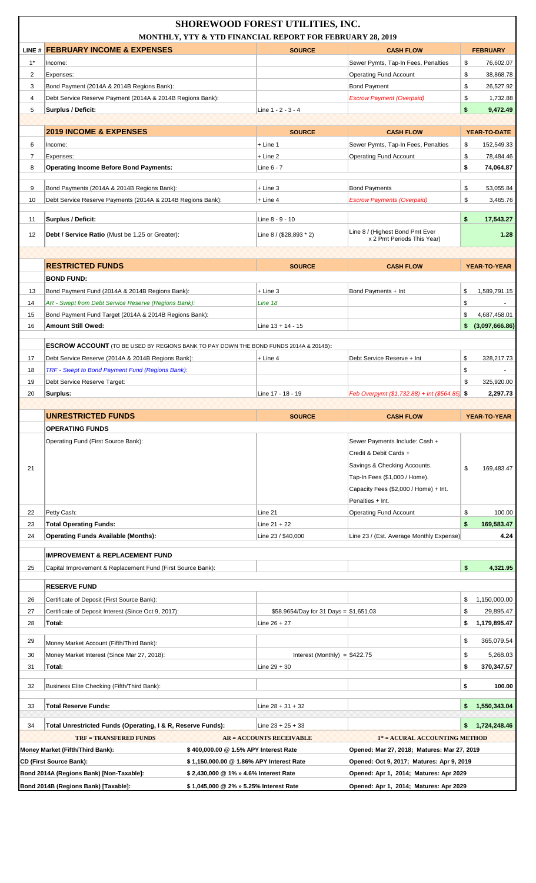|                |                                                                                                            |                                                                                 | <b>SHOREWOOD FOREST UTILITIES, INC.</b><br>MONTHLY, YTY & YTD FINANCIAL REPORT FOR FEBRUARY 28, 2019 |                                                                                  |                                       |
|----------------|------------------------------------------------------------------------------------------------------------|---------------------------------------------------------------------------------|------------------------------------------------------------------------------------------------------|----------------------------------------------------------------------------------|---------------------------------------|
|                | LINE # FEBRUARY INCOME & EXPENSES                                                                          |                                                                                 | <b>SOURCE</b>                                                                                        | <b>CASH FLOW</b>                                                                 | <b>FEBRUARY</b>                       |
| $1^*$          | Income:                                                                                                    |                                                                                 |                                                                                                      | Sewer Pymts, Tap-In Fees, Penalties                                              | \$<br>76,602.07                       |
| $\overline{2}$ | Expenses:                                                                                                  |                                                                                 |                                                                                                      | <b>Operating Fund Account</b>                                                    | \$<br>38,868.78                       |
| 3              | Bond Payment (2014A & 2014B Regions Bank):                                                                 |                                                                                 |                                                                                                      | <b>Bond Payment</b>                                                              | \$<br>26,527.92                       |
| 4              | Debt Service Reserve Payment (2014A & 2014B Regions Bank):                                                 |                                                                                 |                                                                                                      | <b>Escrow Payment (Overpaid)</b>                                                 | \$<br>1,732.88                        |
| 5              | Surplus / Deficit:                                                                                         |                                                                                 | Line 1 - 2 - 3 - 4                                                                                   |                                                                                  | \$<br>9,472.49                        |
|                | <b>2019 INCOME &amp; EXPENSES</b>                                                                          |                                                                                 | <b>SOURCE</b>                                                                                        | <b>CASH FLOW</b>                                                                 | YEAR-TO-DATE                          |
| 6              | Income:                                                                                                    |                                                                                 | $+$ Line 1                                                                                           | Sewer Pymts, Tap-In Fees, Penalties                                              | \$<br>152,549.33                      |
| $\overline{7}$ | Expenses:                                                                                                  |                                                                                 | $+$ Line 2                                                                                           | <b>Operating Fund Account</b>                                                    | \$<br>78,484.46                       |
| 8              | <b>Operating Income Before Bond Payments:</b>                                                              |                                                                                 | Line 6 - 7                                                                                           |                                                                                  | \$<br>74,064.87                       |
|                |                                                                                                            |                                                                                 |                                                                                                      | <b>Bond Payments</b>                                                             |                                       |
| 9<br>10        | Bond Payments (2014A & 2014B Regions Bank):<br>Debt Service Reserve Payments (2014A & 2014B Regions Bank): |                                                                                 | $+$ Line 3<br>$+$ Line 4                                                                             | <b>Escrow Payments (Overpaid)</b>                                                | \$<br>53,055.84<br>\$<br>3,465.76     |
|                |                                                                                                            |                                                                                 |                                                                                                      |                                                                                  |                                       |
| 11             | Surplus / Deficit:                                                                                         |                                                                                 | Line 8 - 9 - 10                                                                                      |                                                                                  | \$<br>17,543.27                       |
| 12             | <b>Debt / Service Ratio</b> (Must be 1.25 or Greater):                                                     |                                                                                 | Line 8 / (\$28,893 * 2)                                                                              | Line 8 / (Highest Bond Pmt Ever<br>x 2 Pmt Periods This Year)                    | 1.28                                  |
|                |                                                                                                            |                                                                                 |                                                                                                      |                                                                                  |                                       |
|                | <b>RESTRICTED FUNDS</b>                                                                                    |                                                                                 | <b>SOURCE</b>                                                                                        | <b>CASH FLOW</b>                                                                 | YEAR-TO-YEAR                          |
|                | <b>BOND FUND:</b>                                                                                          |                                                                                 |                                                                                                      |                                                                                  |                                       |
| 13             | Bond Payment Fund (2014A & 2014B Regions Bank):                                                            |                                                                                 | $+$ Line 3                                                                                           | Bond Payments + Int                                                              | \$<br>1,589,791.15                    |
| 14             | AR - Swept from Debt Service Reserve (Regions Bank):                                                       |                                                                                 | Line 18                                                                                              |                                                                                  | \$<br>$\sim$                          |
| 15             | Bond Payment Fund Target (2014A & 2014B Regions Bank):                                                     |                                                                                 |                                                                                                      |                                                                                  | \$<br>4,687,458.01                    |
| 16             | Amount Still Owed:                                                                                         |                                                                                 | Line $13 + 14 - 15$                                                                                  |                                                                                  | \$<br>(3,097,666.86)                  |
|                | <b>ESCROW ACCOUNT</b> (TO BE USED BY REGIONS BANK TO PAY DOWN THE BOND FUNDS 2014A & 2014B):               |                                                                                 |                                                                                                      |                                                                                  |                                       |
| 17             | Debt Service Reserve (2014A & 2014B Regions Bank):                                                         |                                                                                 | $+$ Line 4                                                                                           | Debt Service Reserve + Int                                                       | \$<br>328,217.73                      |
| 18             | <b>TRF - Swept to Bond Payment Fund (Regions Bank):</b>                                                    |                                                                                 |                                                                                                      |                                                                                  | \$                                    |
| 19             | Debt Service Reserve Target:                                                                               |                                                                                 |                                                                                                      |                                                                                  | \$<br>325,920.00                      |
| 20             | Surplus:                                                                                                   |                                                                                 | Line 17 - 18 - 19                                                                                    | Feb Overpymt $(\$1,732.88) + Int \$564.85$ \$                                    | 2,297.73                              |
|                |                                                                                                            |                                                                                 |                                                                                                      |                                                                                  |                                       |
|                |                                                                                                            |                                                                                 |                                                                                                      |                                                                                  |                                       |
|                | <b>UNRESTRICTED FUNDS</b><br><b>OPERATING FUNDS</b>                                                        |                                                                                 | <b>SOURCE</b>                                                                                        | <b>CASH FLOW</b>                                                                 | YEAR-TO-YEAR                          |
|                | Operating Fund (First Source Bank):                                                                        |                                                                                 |                                                                                                      | Sewer Payments Include: Cash +                                                   |                                       |
|                |                                                                                                            |                                                                                 |                                                                                                      | Credit & Debit Cards +                                                           |                                       |
| 21             |                                                                                                            |                                                                                 |                                                                                                      | Savings & Checking Accounts.                                                     | \$<br>169,483.47                      |
|                |                                                                                                            |                                                                                 |                                                                                                      | Tap-In Fees (\$1,000 / Home).                                                    |                                       |
|                |                                                                                                            |                                                                                 |                                                                                                      | Capacity Fees (\$2,000 / Home) + Int.                                            |                                       |
|                |                                                                                                            |                                                                                 |                                                                                                      | Penalties + Int.                                                                 |                                       |
| 22             | Petty Cash:                                                                                                |                                                                                 | Line 21                                                                                              | <b>Operating Fund Account</b>                                                    | \$<br>100.00                          |
| 23             | <b>Total Operating Funds:</b>                                                                              |                                                                                 | Line $21 + 22$                                                                                       |                                                                                  | \$<br>169,583.47                      |
| 24             | <b>Operating Funds Available (Months):</b>                                                                 |                                                                                 | Line 23 / \$40,000                                                                                   | Line 23 / (Est. Average Monthly Expense)                                         | 4.24                                  |
| 25             | <b>IMPROVEMENT &amp; REPLACEMENT FUND</b><br>Capital Improvement & Replacement Fund (First Source Bank):   |                                                                                 |                                                                                                      |                                                                                  | \$<br>4,321.95                        |
|                |                                                                                                            |                                                                                 |                                                                                                      |                                                                                  |                                       |
|                | <b>RESERVE FUND</b>                                                                                        |                                                                                 |                                                                                                      |                                                                                  |                                       |
| 26<br>27       | Certificate of Deposit (First Source Bank):<br>Certificate of Deposit Interest (Since Oct 9, 2017):        |                                                                                 | \$58.9654/Day for 31 Days = $$1,651.03$                                                              |                                                                                  | 1,150,000.00<br>\$<br>\$<br>29,895.47 |
| 28             | Total:                                                                                                     |                                                                                 | Line $26 + 27$                                                                                       |                                                                                  | \$<br>1,179,895.47                    |
|                |                                                                                                            |                                                                                 |                                                                                                      |                                                                                  |                                       |
| 29             | Money Market Account (Fifth/Third Bank):                                                                   |                                                                                 |                                                                                                      |                                                                                  | \$<br>365,079.54                      |
| 30             | Money Market Interest (Since Mar 27, 2018):                                                                |                                                                                 | Interest (Monthly) = $$422.75$                                                                       |                                                                                  | \$<br>5,268.03                        |
| 31             | Total:                                                                                                     |                                                                                 | Line $29 + 30$                                                                                       |                                                                                  | \$<br>370,347.57                      |
| 32             | Business Elite Checking (Fifth/Third Bank):                                                                |                                                                                 |                                                                                                      |                                                                                  | \$<br>100.00                          |
| 33             | <b>Total Reserve Funds:</b>                                                                                |                                                                                 | Line $28 + 31 + 32$                                                                                  |                                                                                  | 1,550,343.04<br>\$                    |
| 34             | Total Unrestricted Funds (Operating, I & R, Reserve Funds):                                                |                                                                                 | Line $23 + 25 + 33$                                                                                  |                                                                                  | 1,724,248.46<br>\$                    |
|                | <b>TRF = TRANSFERED FUNDS</b>                                                                              |                                                                                 | <b>AR = ACCOUNTS RECEIVABLE</b>                                                                      | 1* = ACURAL ACCOUNTING METHOD                                                    |                                       |
|                | Money Market (Fifth/Third Bank):                                                                           | \$400,000.00 @ 1.5% APY Interest Rate                                           |                                                                                                      | Opened: Mar 27, 2018; Matures: Mar 27, 2019                                      |                                       |
|                | <b>CD (First Source Bank):</b>                                                                             | \$1,150,000.00 @1.86% APY Interest Rate                                         |                                                                                                      | Opened: Oct 9, 2017; Matures: Apr 9, 2019                                        |                                       |
|                | Bond 2014A (Regions Bank) [Non-Taxable]:<br>Bond 2014B (Regions Bank) [Taxable]:                           | \$2,430,000 @ 1% » 4.6% Interest Rate<br>\$1,045,000 @ 2% » 5.25% Interest Rate |                                                                                                      | Opened: Apr 1, 2014; Matures: Apr 2029<br>Opened: Apr 1, 2014; Matures: Apr 2029 |                                       |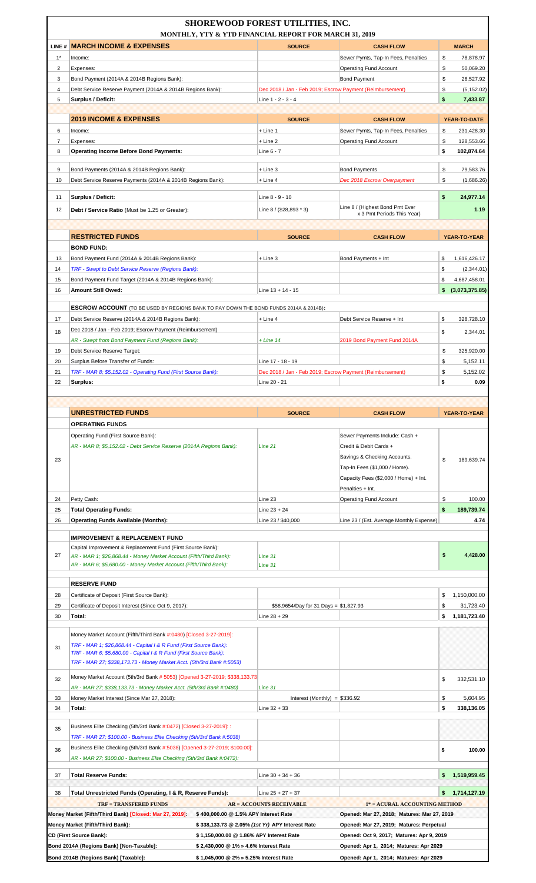|                | <b>SHOREWOOD FOREST UTILITIES, INC.</b>                                                                                                 | MONTHLY, YTY & YTD FINANCIAL REPORT FOR MARCH 31, 2019                          |                                                                                  |                                    |
|----------------|-----------------------------------------------------------------------------------------------------------------------------------------|---------------------------------------------------------------------------------|----------------------------------------------------------------------------------|------------------------------------|
|                | LINE # MARCH INCOME & EXPENSES                                                                                                          | <b>SOURCE</b>                                                                   | <b>CASH FLOW</b>                                                                 | <b>MARCH</b>                       |
| $1*$           | Income:                                                                                                                                 |                                                                                 | Sewer Pymts, Tap-In Fees, Penalties                                              | \$<br>78,878.97                    |
| $\overline{2}$ | Expenses:                                                                                                                               |                                                                                 | <b>Operating Fund Account</b>                                                    | \$<br>50,069.20                    |
| 3              | Bond Payment (2014A & 2014B Regions Bank):                                                                                              |                                                                                 | <b>Bond Payment</b>                                                              | \$<br>26,527.92                    |
| $\overline{4}$ | Debt Service Reserve Payment (2014A & 2014B Regions Bank):                                                                              |                                                                                 | Dec 2018 / Jan - Feb 2019; Escrow Payment (Reimbursement)                        | \$<br>(5, 152.02)                  |
| 5              | Surplus / Deficit:                                                                                                                      | Line 1 - 2 - 3 - 4                                                              |                                                                                  | \$<br>7,433.87                     |
|                | <b>2019 INCOME &amp; EXPENSES</b>                                                                                                       | <b>SOURCE</b>                                                                   | <b>CASH FLOW</b>                                                                 | YEAR-TO-DATE                       |
| 6              | Income:                                                                                                                                 | + Line 1                                                                        | Sewer Pymts, Tap-In Fees, Penalties                                              | \$<br>231,428.30                   |
| 7              | Expenses:                                                                                                                               | + Line 2                                                                        | <b>Operating Fund Account</b>                                                    | \$<br>128,553.66                   |
| 8              | <b>Operating Income Before Bond Payments:</b>                                                                                           | Line 6 - 7                                                                      |                                                                                  | \$<br>102,874.64                   |
| 9              | Bond Payments (2014A & 2014B Regions Bank):                                                                                             | + Line 3                                                                        | <b>Bond Payments</b>                                                             | \$<br>79,583.76                    |
| 10             | Debt Service Reserve Payments (2014A & 2014B Regions Bank):                                                                             | $+$ Line 4                                                                      | Dec 2018 Escrow Overpayment                                                      | \$<br>(1,686.26)                   |
|                |                                                                                                                                         |                                                                                 |                                                                                  |                                    |
| 11<br>12       | Surplus / Deficit:                                                                                                                      | Line 8 - 9 - 10                                                                 | Line 8 / (Highest Bond Pmt Ever                                                  | \$<br>24,977.14<br>1.19            |
|                | Debt / Service Ratio (Must be 1.25 or Greater):                                                                                         | Line $8 / (28,893 * 3)$                                                         | x 3 Pmt Periods This Year)                                                       |                                    |
|                |                                                                                                                                         |                                                                                 |                                                                                  |                                    |
|                | <b>RESTRICTED FUNDS</b><br><b>BOND FUND:</b>                                                                                            | <b>SOURCE</b>                                                                   | <b>CASH FLOW</b>                                                                 | YEAR-TO-YEAR                       |
| 13             | Bond Payment Fund (2014A & 2014B Regions Bank):                                                                                         | + Line 3                                                                        | Bond Payments + Int                                                              | 1,616,426.17<br>\$                 |
| 14             | TRF - Swept to Debt Service Reserve (Regions Bank):                                                                                     |                                                                                 |                                                                                  | \$<br>(2,344.01)                   |
| 15             | Bond Payment Fund Target (2014A & 2014B Regions Bank):                                                                                  |                                                                                 |                                                                                  | \$<br>4,687,458.01                 |
| 16             | <b>Amount Still Owed:</b>                                                                                                               | Line 13 + 14 - 15                                                               |                                                                                  | (3,073,375.85)<br>\$               |
|                |                                                                                                                                         |                                                                                 |                                                                                  |                                    |
|                | <b>ESCROW ACCOUNT</b> (TO BE USED BY REGIONS BANK TO PAY DOWN THE BOND FUNDS 2014A & 2014B):                                            |                                                                                 |                                                                                  |                                    |
| 17             | Debt Service Reserve (2014A & 2014B Regions Bank):<br>Dec 2018 / Jan - Feb 2019; Escrow Payment (Reimbursement)                         | + Line 4                                                                        | Debt Service Reserve + Int                                                       | \$<br>328,728.10                   |
| 18             | AR - Swept from Bond Payment Fund (Regions Bank):                                                                                       | $+ Line 14$                                                                     | 2019 Bond Payment Fund 2014A                                                     | \$<br>2,344.01                     |
| 19             | Debt Service Reserve Target:                                                                                                            |                                                                                 |                                                                                  | \$<br>325,920.00                   |
| 20             | Surplus Before Transfer of Funds:                                                                                                       | Line 17 - 18 - 19                                                               |                                                                                  | \$<br>5,152.11                     |
| 21             | TRF - MAR 8; \$5,152.02 - Operating Fund (First Source Bank):                                                                           |                                                                                 | Dec 2018 / Jan - Feb 2019; Escrow Payment (Reimbursement)                        | \$<br>5,152.02                     |
| 22             | Surplus:                                                                                                                                | Line 20 - 21                                                                    |                                                                                  | \$<br>0.09                         |
|                |                                                                                                                                         |                                                                                 |                                                                                  |                                    |
|                | <b>UNRESTRICTED FUNDS</b>                                                                                                               | <b>SOURCE</b>                                                                   | <b>CASH FLOW</b>                                                                 | YEAR-TO-YEAR                       |
|                | <b>OPERATING FUNDS</b>                                                                                                                  |                                                                                 |                                                                                  |                                    |
|                | Operating Fund (First Source Bank):                                                                                                     |                                                                                 | Sewer Payments Include: Cash +                                                   |                                    |
|                | AR - MAR 8; \$5, 152.02 - Debt Service Reserve (2014A Regions Bank):                                                                    | Line 21                                                                         | Credit & Debit Cards +                                                           |                                    |
| 23             |                                                                                                                                         |                                                                                 | Savings & Checking Accounts.                                                     | \$<br>189,639.74                   |
|                |                                                                                                                                         |                                                                                 | Tap-In Fees (\$1,000 / Home).                                                    |                                    |
|                |                                                                                                                                         |                                                                                 |                                                                                  |                                    |
|                |                                                                                                                                         |                                                                                 | Capacity Fees (\$2,000 / Home) + Int.                                            |                                    |
|                |                                                                                                                                         |                                                                                 | Penalties + Int.                                                                 |                                    |
| 24             | Petty Cash:                                                                                                                             | Line 23                                                                         | <b>Operating Fund Account</b>                                                    | \$<br>100.00                       |
| 25             | <b>Total Operating Funds:</b>                                                                                                           | Line 23 + 24                                                                    |                                                                                  | \$<br>189,739.74                   |
| 26             | <b>Operating Funds Available (Months):</b>                                                                                              | Line 23 / \$40,000                                                              | Line 23 / (Est. Average Monthly Expense)                                         | 4.74                               |
|                | <b>IMPROVEMENT &amp; REPLACEMENT FUND</b>                                                                                               |                                                                                 |                                                                                  |                                    |
|                | Capital Improvement & Replacement Fund (First Source Bank):                                                                             |                                                                                 |                                                                                  |                                    |
| 27             | AR - MAR 1; \$26,868.44 - Money Market Account (Fifth/Third Bank):<br>AR - MAR 6; \$5,680.00 - Money Market Account (Fifth/Third Bank): | Line 31<br>Line 31                                                              |                                                                                  | \$<br>4,428.00                     |
|                |                                                                                                                                         |                                                                                 |                                                                                  |                                    |
|                | <b>RESERVE FUND</b>                                                                                                                     |                                                                                 |                                                                                  |                                    |
| 28             | Certificate of Deposit (First Source Bank):                                                                                             |                                                                                 |                                                                                  | 1,150,000.00<br>\$                 |
| 29             | Certificate of Deposit Interest (Since Oct 9, 2017):                                                                                    | \$58.9654/Day for 31 Days = \$1,827.93                                          |                                                                                  | 31,723.40<br>\$                    |
| 30             | Total:                                                                                                                                  | Line $28 + 29$                                                                  |                                                                                  | 1,181,723.40<br>\$                 |
|                | Money Market Account (Fifth/Third Bank #:0480) [Closed 3-27-2019]:                                                                      |                                                                                 |                                                                                  |                                    |
| 31             | TRF - MAR 1; \$26,868.44 - Capital I & R Fund (First Source Bank):                                                                      |                                                                                 |                                                                                  |                                    |
|                | TRF - MAR 6; \$5,680.00 - Capital I & R Fund (First Source Bank):                                                                       |                                                                                 |                                                                                  |                                    |
|                | TRF - MAR 27; \$338, 173.73 - Money Market Acct. (5th/3rd Bank #:5053)                                                                  |                                                                                 |                                                                                  |                                    |
| 32             | Money Market Account (5th/3rd Bank # 5053) [Opened 3-27-2019; \$338,133.73                                                              |                                                                                 |                                                                                  | \$<br>332,531.10                   |
|                | AR - MAR 27; \$338,133.73 - Money Marker Acct. (5th/3rd Bank #:0480)                                                                    | Line 31                                                                         |                                                                                  |                                    |
| 33<br>34       | Money Market Interest (Since Mar 27, 2018):<br>Total:                                                                                   | Interest (Monthly) = $$336.92$<br>Line $32 + 33$                                |                                                                                  | \$<br>5,604.95<br>\$<br>338,136.05 |
|                |                                                                                                                                         |                                                                                 |                                                                                  |                                    |
| 35             | Business Elite Checking (5th/3rd Bank #:0472) [Closed 3-27-2019]: :                                                                     |                                                                                 |                                                                                  |                                    |
|                | TRF - MAR 27; \$100.00 - Business Elite Checking (5th/3rd Bank #:5038)                                                                  |                                                                                 |                                                                                  |                                    |
| 36             | Business Elite Checking (5th/3rd Bank #:5038) [Opened 3-27-2019; \$100.00]:                                                             |                                                                                 |                                                                                  | \$<br>100.00                       |
|                | AR - MAR 27; \$100.00 - Business Elite Checking (5th/3rd Bank #:0472):                                                                  |                                                                                 |                                                                                  |                                    |
| 37             | Total Reserve Funds:                                                                                                                    | Line $30 + 34 + 36$                                                             |                                                                                  | 1,519,959.45                       |
| 38             | Total Unrestricted Funds (Operating, I & R, Reserve Funds):                                                                             | Line $25 + 27 + 37$                                                             |                                                                                  | 1,714,127.19<br>\$                 |
|                | <b>TRF = TRANSFERED FUNDS</b>                                                                                                           | <b>AR = ACCOUNTS RECEIVABLE</b>                                                 | 1* = ACURAL ACCOUNTING METHOD                                                    |                                    |
|                | Money Market (Fifth/Third Bank) [Closed: Mar 27, 2019]:                                                                                 | \$400,000.00 @ 1.5% APY Interest Rate                                           | Opened: Mar 27, 2018; Matures: Mar 27, 2019                                      |                                    |
|                | Money Market (Fifth/Third Bank):                                                                                                        | \$338,133.73 @ 2.05% (1st Yr) APY Interest Rate                                 | Opened: Mar 27, 2019; Matures: Perpetual                                         |                                    |
|                | <b>CD (First Source Bank):</b>                                                                                                          | \$1,150,000.00 @1.86% APY Interest Rate                                         | Opened: Oct 9, 2017; Matures: Apr 9, 2019                                        |                                    |
|                | Bond 2014A (Regions Bank) [Non-Taxable]:<br>Bond 2014B (Regions Bank) [Taxable]:                                                        | \$2,430,000 @ 1% » 4.6% Interest Rate<br>\$1,045,000 @ 2% » 5.25% Interest Rate | Opened: Apr 1, 2014; Matures: Apr 2029<br>Opened: Apr 1, 2014; Matures: Apr 2029 |                                    |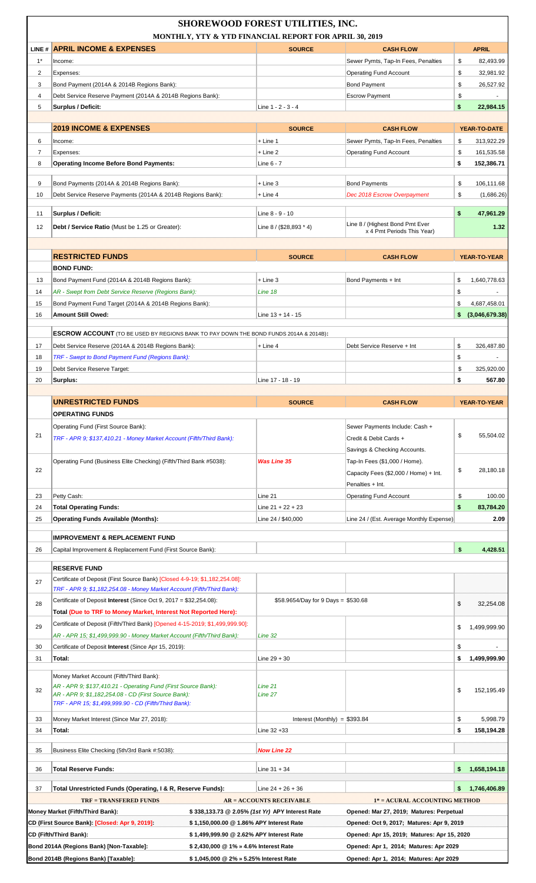|                     | MONTHLY, YTY & YTD FINANCIAL REPORT FOR APRIL 30, 2019                                                                                           | <b>SHOREWOOD FOREST UTILITIES, INC.</b>         |                                             |                                      |
|---------------------|--------------------------------------------------------------------------------------------------------------------------------------------------|-------------------------------------------------|---------------------------------------------|--------------------------------------|
|                     | LINE # APRIL INCOME & EXPENSES                                                                                                                   | <b>SOURCE</b>                                   | <b>CASH FLOW</b>                            | <b>APRIL</b>                         |
| $1*$                | Income:                                                                                                                                          |                                                 | Sewer Pymts, Tap-In Fees, Penalties         | \$<br>82,493.99                      |
| 2                   | Expenses:                                                                                                                                        |                                                 | <b>Operating Fund Account</b>               | \$<br>32,981.92                      |
| 3                   | Bond Payment (2014A & 2014B Regions Bank):                                                                                                       |                                                 | <b>Bond Payment</b>                         | \$<br>26,527.92                      |
| 4                   | Debt Service Reserve Payment (2014A & 2014B Regions Bank):                                                                                       |                                                 | <b>Escrow Payment</b>                       | \$                                   |
| 5                   | <b>Surplus / Deficit:</b>                                                                                                                        | Line 1 - 2 - 3 - 4                              |                                             | \$<br>22.984.15                      |
|                     |                                                                                                                                                  |                                                 |                                             |                                      |
|                     | <b>2019 INCOME &amp; EXPENSES</b>                                                                                                                | <b>SOURCE</b>                                   | <b>CASH FLOW</b>                            | YEAR-TO-DATE                         |
| 6                   | Income:                                                                                                                                          | $+$ Line 1                                      | Sewer Pymts, Tap-In Fees, Penalties         | \$<br>313,922.29                     |
| $\overline{7}$<br>8 | Expenses:<br><b>Operating Income Before Bond Payments:</b>                                                                                       | $+$ Line 2<br>Line 6 - 7                        | <b>Operating Fund Account</b>               | \$<br>161,535.58<br>\$<br>152,386.71 |
|                     |                                                                                                                                                  |                                                 |                                             |                                      |
| 9                   | Bond Payments (2014A & 2014B Regions Bank):                                                                                                      | $+$ Line 3                                      | <b>Bond Payments</b>                        | \$<br>106,111.68                     |
| 10                  | Debt Service Reserve Payments (2014A & 2014B Regions Bank):                                                                                      | $+$ Line 4                                      | Dec 2018 Escrow Overpayment                 | \$<br>(1,686.26)                     |
| 11                  | Surplus / Deficit:                                                                                                                               | Line 8 - 9 - 10                                 |                                             | \$<br>47,961.29                      |
| 12                  | Debt / Service Ratio (Must be 1.25 or Greater):                                                                                                  | Line $8 / (28,893 * 4)$                         | Line 8 / (Highest Bond Pmt Ever             | 1.32                                 |
|                     |                                                                                                                                                  |                                                 | x 4 Pmt Periods This Year)                  |                                      |
|                     |                                                                                                                                                  |                                                 |                                             |                                      |
|                     | <b>RESTRICTED FUNDS</b>                                                                                                                          | <b>SOURCE</b>                                   | <b>CASH FLOW</b>                            | YEAR-TO-YEAR                         |
|                     | <b>BOND FUND:</b>                                                                                                                                |                                                 |                                             |                                      |
| 13<br>14            | Bond Payment Fund (2014A & 2014B Regions Bank):                                                                                                  | $+$ Line 3<br>Line 18                           | Bond Payments + Int                         | \$<br>1,640,778.63<br>\$             |
| 15                  | AR - Swept from Debt Service Reserve (Regions Bank):<br>Bond Payment Fund Target (2014A & 2014B Regions Bank):                                   |                                                 |                                             | \$<br>4,687,458.01                   |
| 16                  | <b>Amount Still Owed:</b>                                                                                                                        | Line $13 + 14 - 15$                             |                                             | (3,046,679.38)<br>\$                 |
|                     |                                                                                                                                                  |                                                 |                                             |                                      |
|                     | <b>ESCROW ACCOUNT</b> (TO BE USED BY REGIONS BANK TO PAY DOWN THE BOND FUNDS 2014A & 2014B):                                                     |                                                 |                                             |                                      |
| 17                  | Debt Service Reserve (2014A & 2014B Regions Bank):                                                                                               | $+$ Line 4                                      | Debt Service Reserve + Int                  | \$<br>326,487.80                     |
| 18                  | TRF - Swept to Bond Payment Fund (Regions Bank):                                                                                                 |                                                 |                                             | \$                                   |
| 19<br>20            | Debt Service Reserve Target:<br>Surplus:                                                                                                         | Line 17 - 18 - 19                               |                                             | \$<br>325,920.00<br>\$<br>567.80     |
|                     |                                                                                                                                                  |                                                 |                                             |                                      |
|                     | <b>UNRESTRICTED FUNDS</b>                                                                                                                        | <b>SOURCE</b>                                   | <b>CASH FLOW</b>                            | <b>YEAR-TO-YEAR</b>                  |
|                     | <b>OPERATING FUNDS</b>                                                                                                                           |                                                 |                                             |                                      |
|                     | Operating Fund (First Source Bank):                                                                                                              |                                                 | Sewer Payments Include: Cash +              |                                      |
| 21                  | TRF - APR 9; \$137,410.21 - Money Market Account (Fifth/Third Bank):                                                                             |                                                 | Credit & Debit Cards +                      | \$<br>55,504.02                      |
|                     |                                                                                                                                                  |                                                 | Savings & Checking Accounts.                |                                      |
|                     | Operating Fund (Business Elite Checking) (Fifth/Third Bank #5038):                                                                               | <b>Was Line 35</b>                              | Tap-In Fees (\$1,000 / Home).               |                                      |
| 22                  |                                                                                                                                                  |                                                 | Capacity Fees (\$2,000 / Home) + Int.       | \$<br>28,180.18                      |
|                     |                                                                                                                                                  |                                                 | Penalties + Int.                            |                                      |
| 23<br>24            | Petty Cash:<br><b>Total Operating Funds:</b>                                                                                                     | Line 21<br>Line $21 + 22 + 23$                  | <b>Operating Fund Account</b>               | \$<br>100.00<br>\$<br>83,784.20      |
| 25                  | Operating Funds Available (Months):                                                                                                              | Line 24 / \$40,000                              | Line 24 / (Est. Average Monthly Expense)    | 2.09                                 |
|                     |                                                                                                                                                  |                                                 |                                             |                                      |
|                     | <b>IMPROVEMENT &amp; REPLACEMENT FUND</b>                                                                                                        |                                                 |                                             |                                      |
| 26                  | Capital Improvement & Replacement Fund (First Source Bank):                                                                                      |                                                 |                                             | \$<br>4,428.51                       |
|                     | <b>RESERVE FUND</b>                                                                                                                              |                                                 |                                             |                                      |
| 27                  | Certificate of Deposit (First Source Bank) [Closed 4-9-19; \$1,182,254.08]:                                                                      |                                                 |                                             |                                      |
|                     | TRF - APR 9; \$1,182,254.08 - Money Market Account (Fifth/Third Bank):                                                                           |                                                 |                                             |                                      |
| 28                  | Certificate of Deposit Interest (Since Oct 9, 2017 = \$32,254.08):                                                                               | \$58.9654/Day for 9 Days = \$530.68             |                                             | \$<br>32,254.08                      |
|                     | Total (Due to TRF to Money Market, Interest Not Reported Here):<br>Certificate of Deposit (Fifth/Third Bank) [Opened 4-15-2019; \$1,499,999.90]: |                                                 |                                             |                                      |
| 29                  | AR - APR 15; \$1,499,999.90 - Money Market Account (Fifth/Third Bank):                                                                           | Line 32                                         |                                             | \$<br>1,499,999.90                   |
| 30                  | Certificate of Deposit Interest (Since Apr 15, 2019):                                                                                            |                                                 |                                             | \$                                   |
| 31                  | Total:                                                                                                                                           | Line 29 + 30                                    |                                             | \$<br>1,499,999.90                   |
|                     |                                                                                                                                                  |                                                 |                                             |                                      |
|                     | Money Market Account (Fifth/Third Bank):<br>AR - APR 9; \$137,410.21 - Operating Fund (First Source Bank):                                       | Line 21                                         |                                             |                                      |
| 32                  | AR - APR 9; \$1,182,254.08 - CD (First Source Bank):                                                                                             | Line 27                                         |                                             | \$<br>152,195.49                     |
|                     | TRF - APR 15; \$1,499,999.90 - CD (Fifth/Third Bank):                                                                                            |                                                 |                                             |                                      |
| 33                  | Money Market Interest (Since Mar 27, 2018):                                                                                                      | Interest (Monthly) = $$393.84$                  |                                             | 5.998.79<br>\$                       |
| 34                  | Total:                                                                                                                                           | Line 32 +33                                     |                                             | \$<br>158,194.28                     |
| 35                  | Business Elite Checking (5th/3rd Bank #:5038):                                                                                                   | <b>Now Line 22</b>                              |                                             |                                      |
|                     |                                                                                                                                                  |                                                 |                                             |                                      |
| 36                  | <b>Total Reserve Funds:</b>                                                                                                                      | Line $31 + 34$                                  |                                             | 1,658,194.18<br>\$                   |
| 37                  | Total Unrestricted Funds (Operating, I & R, Reserve Funds):                                                                                      | Line 24 + 26 + 36                               |                                             | 1,746,406.89<br>\$                   |
|                     | <b>TRF = TRANSFERED FUNDS</b>                                                                                                                    | <b>AR = ACCOUNTS RECEIVABLE</b>                 | 1* = ACURAL ACCOUNTING METHOD               |                                      |
|                     | Money Market (Fifth/Third Bank):                                                                                                                 | \$338,133.73 @ 2.05% (1st Yr) APY Interest Rate | Opened: Mar 27, 2019; Matures: Perpetual    |                                      |
|                     | CD (First Source Bank): [Closed: Apr 9, 2019]:<br>\$1,150,000.00 @1.86% APY Interest Rate                                                        |                                                 | Opened: Oct 9, 2017; Matures: Apr 9, 2019   |                                      |
|                     | CD (Fifth/Third Bank):<br>\$1,499,999.90 @ 2.62% APY Interest Rate                                                                               |                                                 | Opened: Apr 15, 2019; Matures: Apr 15, 2020 |                                      |
|                     | Bond 2014A (Regions Bank) [Non-Taxable]:<br>\$2,430,000 @ 1% » 4.6% Interest Rate                                                                |                                                 | Opened: Apr 1, 2014; Matures: Apr 2029      |                                      |
|                     | Bond 2014B (Regions Bank) [Taxable]:<br>\$1,045,000 @ 2% » 5.25% Interest Rate                                                                   |                                                 | Opened: Apr 1, 2014; Matures: Apr 2029      |                                      |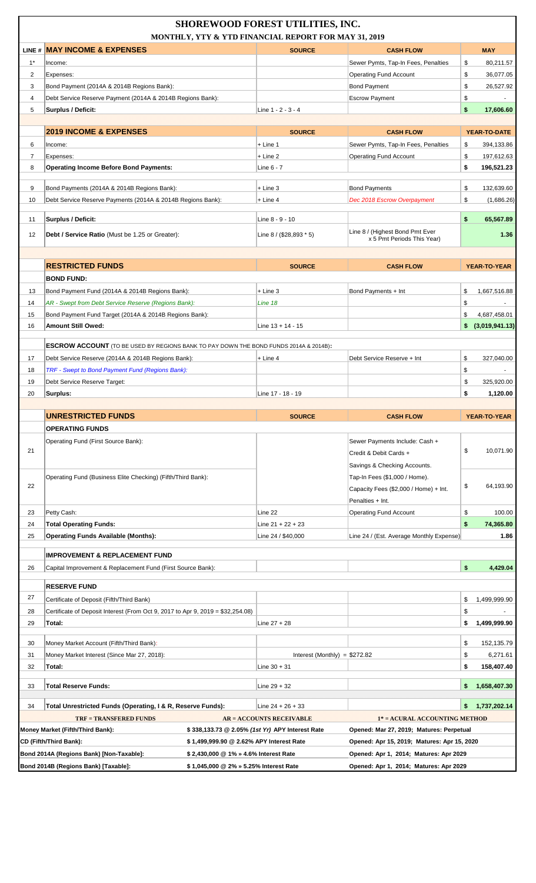|       |                                                                                                             | <b>SHOREWOOD FOREST UTILITIES, INC.</b>         |                                                                                       |                      |
|-------|-------------------------------------------------------------------------------------------------------------|-------------------------------------------------|---------------------------------------------------------------------------------------|----------------------|
|       | MONTHLY, YTY & YTD FINANCIAL REPORT FOR MAY 31, 2019<br>LINE # MAY INCOME & EXPENSES                        | <b>SOURCE</b>                                   | <b>CASH FLOW</b>                                                                      | <b>MAY</b>           |
| $1^*$ | Income:                                                                                                     |                                                 | Sewer Pymts, Tap-In Fees, Penalties                                                   | \$<br>80,211.57      |
| 2     | Expenses:                                                                                                   |                                                 | <b>Operating Fund Account</b>                                                         | \$<br>36,077.05      |
| 3     | Bond Payment (2014A & 2014B Regions Bank):                                                                  |                                                 | <b>Bond Payment</b>                                                                   | \$<br>26,527.92      |
| 4     | Debt Service Reserve Payment (2014A & 2014B Regions Bank):                                                  |                                                 | <b>Escrow Payment</b>                                                                 | \$                   |
| 5     | Surplus / Deficit:                                                                                          | Line 1 - 2 - 3 - 4                              |                                                                                       | \$<br>17,606.60      |
|       |                                                                                                             |                                                 |                                                                                       |                      |
|       | <b>2019 INCOME &amp; EXPENSES</b>                                                                           | <b>SOURCE</b>                                   | <b>CASH FLOW</b>                                                                      | YEAR-TO-DATE         |
| 6     | Income:                                                                                                     | + Line 1                                        | Sewer Pymts, Tap-In Fees, Penalties                                                   | \$<br>394,133.86     |
| 7     | Expenses:                                                                                                   | $+$ Line 2                                      | <b>Operating Fund Account</b>                                                         | 197,612.63<br>\$     |
| 8     | <b>Operating Income Before Bond Payments:</b>                                                               | Line 6 - 7                                      |                                                                                       | \$<br>196,521.23     |
| 9     | Bond Payments (2014A & 2014B Regions Bank):                                                                 | $+$ Line 3                                      | <b>Bond Payments</b>                                                                  | 132,639.60<br>\$     |
| 10    | Debt Service Reserve Payments (2014A & 2014B Regions Bank):                                                 | $+$ Line 4                                      | Dec 2018 Escrow Overpayment                                                           | \$<br>(1,686.26)     |
|       |                                                                                                             |                                                 |                                                                                       |                      |
| 11    | Surplus / Deficit:                                                                                          | Line 8 - 9 - 10                                 |                                                                                       | \$<br>65,567.89      |
| 12    | <b>Debt / Service Ratio</b> (Must be 1.25 or Greater):                                                      | Line $8 / (28,893 * 5)$                         | Line 8 / (Highest Bond Pmt Ever<br>x 5 Pmt Periods This Year)                         | 1.36                 |
|       |                                                                                                             |                                                 |                                                                                       |                      |
|       | <b>RESTRICTED FUNDS</b>                                                                                     | <b>SOURCE</b>                                   | <b>CASH FLOW</b>                                                                      | YEAR-TO-YEAR         |
|       | <b>BOND FUND:</b>                                                                                           |                                                 |                                                                                       |                      |
| 13    | Bond Payment Fund (2014A & 2014B Regions Bank):                                                             | + Line 3                                        | Bond Payments + Int                                                                   | \$<br>1,667,516.88   |
| 14    | AR - Swept from Debt Service Reserve (Regions Bank):                                                        | Line 18                                         |                                                                                       | \$<br>$\blacksquare$ |
| 15    | Bond Payment Fund Target (2014A & 2014B Regions Bank):                                                      |                                                 |                                                                                       | 4,687,458.01<br>\$   |
| 16    | Amount Still Owed:                                                                                          | Line 13 + 14 - 15                               |                                                                                       | (3,019,941.13)<br>\$ |
|       |                                                                                                             |                                                 |                                                                                       |                      |
|       | <b>ESCROW ACCOUNT</b> (TO BE USED BY REGIONS BANK TO PAY DOWN THE BOND FUNDS 2014A & 2014B):                |                                                 |                                                                                       |                      |
| 17    | Debt Service Reserve (2014A & 2014B Regions Bank):                                                          | + Line 4                                        | Debt Service Reserve + Int                                                            | \$<br>327,040.00     |
| 18    | TRF - Swept to Bond Payment Fund (Regions Bank):                                                            |                                                 |                                                                                       | \$                   |
| 19    | Debt Service Reserve Target:                                                                                |                                                 |                                                                                       | 325,920.00<br>\$     |
| 20    | Surplus:                                                                                                    | Line 17 - 18 - 19                               |                                                                                       | \$<br>1,120.00       |
|       |                                                                                                             |                                                 |                                                                                       |                      |
|       |                                                                                                             |                                                 | <b>CASH FLOW</b>                                                                      |                      |
|       | <b>UNRESTRICTED FUNDS</b>                                                                                   | <b>SOURCE</b>                                   |                                                                                       | YEAR-TO-YEAR         |
|       | <b>OPERATING FUNDS</b>                                                                                      |                                                 |                                                                                       |                      |
|       | Operating Fund (First Source Bank):                                                                         |                                                 | Sewer Payments Include: Cash +                                                        |                      |
| 21    |                                                                                                             |                                                 | Credit & Debit Cards +                                                                | \$<br>10,071.90      |
|       |                                                                                                             |                                                 | Savings & Checking Accounts.                                                          |                      |
|       | Operating Fund (Business Elite Checking) (Fifth/Third Bank):                                                |                                                 | Tap-In Fees (\$1,000 / Home).                                                         |                      |
| 22    |                                                                                                             |                                                 | Capacity Fees (\$2,000 / Home) + Int.                                                 | \$<br>64,193.90      |
|       |                                                                                                             |                                                 | Penalties + Int.                                                                      |                      |
| 23    | Petty Cash:                                                                                                 | Line 22                                         | <b>Operating Fund Account</b>                                                         | \$<br>100.00         |
| 24    | <b>Total Operating Funds:</b>                                                                               | Line $21 + 22 + 23$                             |                                                                                       | \$<br>74,365.80      |
| 25    | <b>Operating Funds Available (Months):</b>                                                                  | Line 24 / \$40,000                              | Line 24 / (Est. Average Monthly Expense)                                              | 1.86                 |
|       |                                                                                                             |                                                 |                                                                                       |                      |
|       | <b>IMPROVEMENT &amp; REPLACEMENT FUND</b>                                                                   |                                                 |                                                                                       |                      |
| 26    | Capital Improvement & Replacement Fund (First Source Bank):                                                 |                                                 |                                                                                       | \$<br>4,429.04       |
|       | <b>RESERVE FUND</b>                                                                                         |                                                 |                                                                                       |                      |
| 27    | Certificate of Deposit (Fifth/Third Bank)                                                                   |                                                 |                                                                                       | \$<br>1,499,999.90   |
| 28    | Certificate of Deposit Interest (From Oct 9, 2017 to Apr 9, 2019 = \$32,254.08)                             |                                                 |                                                                                       | \$                   |
| 29    | Total:                                                                                                      | Line $27 + 28$                                  |                                                                                       | 1,499,999.90<br>\$   |
| 30    | Money Market Account (Fifth/Third Bank):                                                                    |                                                 |                                                                                       | \$<br>152,135.79     |
| 31    | Money Market Interest (Since Mar 27, 2018):                                                                 | Interest (Monthly) = $$272.82$                  |                                                                                       | \$<br>6,271.61       |
| 32    | Total:                                                                                                      | Line $30 + 31$                                  |                                                                                       | \$<br>158,407.40     |
|       |                                                                                                             |                                                 |                                                                                       |                      |
| 33    | <b>Total Reserve Funds:</b>                                                                                 | Line $29 + 32$                                  |                                                                                       | 1,658,407.30<br>\$   |
| 34    | Total Unrestricted Funds (Operating, I & R, Reserve Funds):                                                 | Line $24 + 26 + 33$                             |                                                                                       | 1,737,202.14<br>\$   |
|       | <b>TRF = TRANSFERED FUNDS</b>                                                                               |                                                 |                                                                                       |                      |
|       |                                                                                                             | <b>AR = ACCOUNTS RECEIVABLE</b>                 | 1* = ACURAL ACCOUNTING METHOD                                                         |                      |
|       | Money Market (Fifth/Third Bank):<br>\$1,499,999.90 @ 2.62% APY Interest Rate                                | \$338,133.73 @ 2.05% (1st Yr) APY Interest Rate | Opened: Mar 27, 2019; Matures: Perpetual                                              |                      |
|       | CD (Fifth/Third Bank):<br>Bond 2014A (Regions Bank) [Non-Taxable]:<br>\$2,430,000 @ 1% » 4.6% Interest Rate |                                                 | Opened: Apr 15, 2019; Matures: Apr 15, 2020<br>Opened: Apr 1, 2014; Matures: Apr 2029 |                      |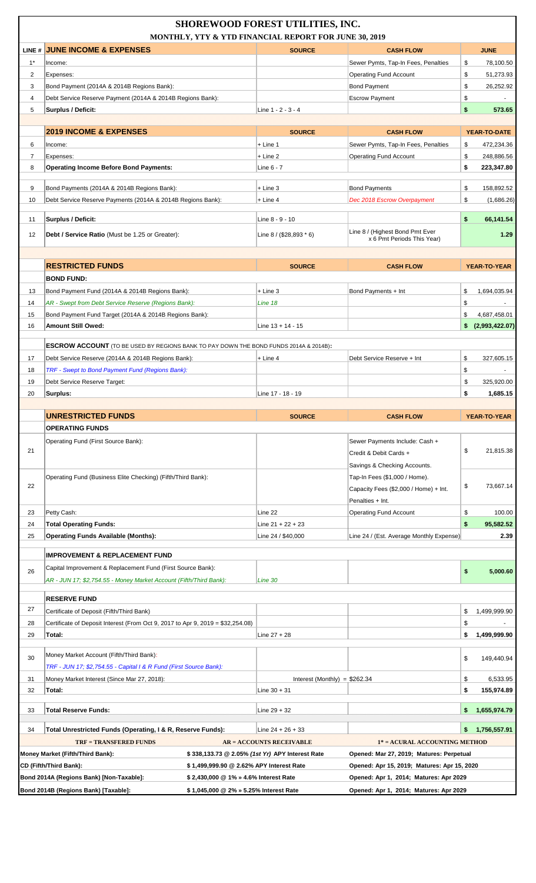|                | MONTHLY, YTY & YTD FINANCIAL REPORT FOR JUNE 30, 2019                                        | <b>SHOREWOOD FOREST UTILITIES, INC.</b>         |                                                               |                                             |
|----------------|----------------------------------------------------------------------------------------------|-------------------------------------------------|---------------------------------------------------------------|---------------------------------------------|
|                | LINE # JUNE INCOME & EXPENSES                                                                | <b>SOURCE</b>                                   | <b>CASH FLOW</b>                                              | <b>JUNE</b>                                 |
| $1^*$          | Income:                                                                                      |                                                 | Sewer Pymts, Tap-In Fees, Penalties                           | \$<br>78,100.50                             |
| 2              | Expenses:                                                                                    |                                                 | <b>Operating Fund Account</b>                                 | \$<br>51,273.93                             |
| 3              | Bond Payment (2014A & 2014B Regions Bank):                                                   |                                                 | <b>Bond Payment</b>                                           | \$<br>26,252.92                             |
| $\overline{4}$ | Debt Service Reserve Payment (2014A & 2014B Regions Bank):                                   |                                                 | <b>Escrow Payment</b>                                         | \$                                          |
| 5              | <b>Surplus / Deficit:</b>                                                                    | Line $1 - 2 - 3 - 4$                            |                                                               | \$<br>573.65                                |
|                |                                                                                              |                                                 |                                                               |                                             |
|                | <b>2019 INCOME &amp; EXPENSES</b>                                                            | <b>SOURCE</b>                                   | <b>CASH FLOW</b>                                              | YEAR-TO-DATE                                |
| 6              | Income:                                                                                      | + Line 1                                        | Sewer Pymts, Tap-In Fees, Penalties                           | \$<br>472,234.36                            |
| 7              | Expenses:                                                                                    | + Line 2                                        | <b>Operating Fund Account</b>                                 | 248,886.56<br>\$                            |
| 8              | <b>Operating Income Before Bond Payments:</b>                                                | Line 6 - 7                                      |                                                               | \$<br>223,347.80                            |
| 9              | Bond Payments (2014A & 2014B Regions Bank):                                                  | + Line 3                                        | <b>Bond Payments</b>                                          | \$<br>158,892.52                            |
| 10             | Debt Service Reserve Payments (2014A & 2014B Regions Bank):                                  | + Line 4                                        | Dec 2018 Escrow Overpayment                                   | \$<br>(1,686.26)                            |
|                |                                                                                              |                                                 |                                                               |                                             |
| 11             | Surplus / Deficit:                                                                           | Line 8 - 9 - 10                                 |                                                               | \$<br>66,141.54                             |
| 12             | <b>Debt / Service Ratio</b> (Must be 1.25 or Greater):                                       | Line $8 / (28,893 * 6)$                         | Line 8 / (Highest Bond Pmt Ever<br>x 6 Pmt Periods This Year) | 1.29                                        |
|                |                                                                                              |                                                 |                                                               |                                             |
|                |                                                                                              |                                                 |                                                               |                                             |
|                | <b>RESTRICTED FUNDS</b>                                                                      | <b>SOURCE</b>                                   | <b>CASH FLOW</b>                                              | <b>YEAR-TO-YEAR</b>                         |
|                | <b>BOND FUND:</b>                                                                            |                                                 |                                                               |                                             |
| 13             | Bond Payment Fund (2014A & 2014B Regions Bank):                                              | + Line 3                                        | Bond Payments + Int                                           | \$<br>1,694,035.94                          |
| 14             | AR - Swept from Debt Service Reserve (Regions Bank):                                         | Line 18                                         |                                                               | \$                                          |
| 15<br>16       | Bond Payment Fund Target (2014A & 2014B Regions Bank):<br>Amount Still Owed:                 | Line $13 + 14 - 15$                             |                                                               | \$<br>4,687,458.01<br>(2,993,422.07)<br>\$. |
|                |                                                                                              |                                                 |                                                               |                                             |
|                | <b>ESCROW ACCOUNT</b> (TO BE USED BY REGIONS BANK TO PAY DOWN THE BOND FUNDS 2014A & 2014B): |                                                 |                                                               |                                             |
| 17             | Debt Service Reserve (2014A & 2014B Regions Bank):                                           | + Line 4                                        | Debt Service Reserve + Int                                    | \$<br>327,605.15                            |
| 18             | TRF - Swept to Bond Payment Fund (Regions Bank):                                             |                                                 |                                                               | \$<br>$\blacksquare$                        |
| 19             | Debt Service Reserve Target:                                                                 |                                                 |                                                               | \$<br>325,920.00                            |
| 20             | Surplus:                                                                                     | Line 17 - 18 - 19                               |                                                               | \$<br>1,685.15                              |
|                |                                                                                              |                                                 |                                                               |                                             |
|                |                                                                                              |                                                 |                                                               |                                             |
|                | <b>UNRESTRICTED FUNDS</b>                                                                    | <b>SOURCE</b>                                   | <b>CASH FLOW</b>                                              | YEAR-TO-YEAR                                |
|                | <b>OPERATING FUNDS</b>                                                                       |                                                 |                                                               |                                             |
|                | Operating Fund (First Source Bank):                                                          |                                                 | Sewer Payments Include: Cash +                                |                                             |
| 21             |                                                                                              |                                                 | Credit & Debit Cards +                                        | \$<br>21,815.38                             |
|                |                                                                                              |                                                 | Savings & Checking Accounts.                                  |                                             |
|                | Operating Fund (Business Elite Checking) (Fifth/Third Bank):                                 |                                                 | Tap-In Fees (\$1,000 / Home).                                 |                                             |
| 22             |                                                                                              |                                                 | Capacity Fees (\$2,000 / Home) + Int.                         | 73,667.14<br>\$                             |
|                |                                                                                              |                                                 | Penalties + Int.                                              |                                             |
| 23             | Petty Cash:                                                                                  | Line 22                                         | <b>Operating Fund Account</b>                                 | \$<br>100.00                                |
| 24             | <b>Total Operating Funds:</b>                                                                | Line $21 + 22 + 23$                             |                                                               | \$<br>95,582.52                             |
| 25             | <b>Operating Funds Available (Months):</b>                                                   | Line 24 / \$40,000                              | Line 24 / (Est. Average Monthly Expense)                      | 2.39                                        |
|                | <b>IMPROVEMENT &amp; REPLACEMENT FUND</b>                                                    |                                                 |                                                               |                                             |
| 26             | Capital Improvement & Replacement Fund (First Source Bank):                                  |                                                 |                                                               |                                             |
|                | AR - JUN 17; \$2,754.55 - Money Market Account (Fifth/Third Bank):                           | Line 30                                         |                                                               | \$<br>5,000.60                              |
|                |                                                                                              |                                                 |                                                               |                                             |
|                | <b>RESERVE FUND</b>                                                                          |                                                 |                                                               |                                             |
| 27             | Certificate of Deposit (Fifth/Third Bank)                                                    |                                                 |                                                               | 1,499,999.90<br>\$                          |
| 28             | Certificate of Deposit Interest (From Oct 9, 2017 to Apr 9, 2019 = \$32,254.08)              |                                                 |                                                               | \$                                          |
| 29             | Total:                                                                                       | Line $27 + 28$                                  |                                                               | \$<br>1,499,999.90                          |
| 30             | Money Market Account (Fifth/Third Bank):                                                     |                                                 |                                                               | \$                                          |
|                | TRF - JUN 17; \$2,754.55 - Capital I & R Fund (First Source Bank):                           |                                                 |                                                               | 149,440.94                                  |
| 31             | Money Market Interest (Since Mar 27, 2018):                                                  | Interest (Monthly) = $$262.34$                  |                                                               | \$<br>6,533.95                              |
| 32             | Total:                                                                                       | Line $30 + 31$                                  |                                                               | \$<br>155,974.89                            |
|                |                                                                                              |                                                 |                                                               |                                             |
| 33             | <b>Total Reserve Funds:</b>                                                                  | $Line 29 + 32$                                  |                                                               | \$.<br>1,655,974.79                         |
| 34             | Total Unrestricted Funds (Operating, I & R, Reserve Funds):                                  | Line $24 + 26 + 33$                             |                                                               | 1,756,557.91<br>\$.                         |
|                | <b>TRF = TRANSFERED FUNDS</b>                                                                | <b>AR = ACCOUNTS RECEIVABLE</b>                 | 1* = ACURAL ACCOUNTING METHOD                                 |                                             |
|                | Money Market (Fifth/Third Bank):                                                             | \$338,133.73 @ 2.05% (1st Yr) APY Interest Rate | Opened: Mar 27, 2019; Matures: Perpetual                      |                                             |
|                | \$1,499,999.90 @ 2.62% APY Interest Rate<br>CD (Fifth/Third Bank):                           |                                                 | Opened: Apr 15, 2019; Matures: Apr 15, 2020                   |                                             |
|                | Bond 2014A (Regions Bank) [Non-Taxable]:<br>\$2,430,000 @ 1% » 4.6% Interest Rate            |                                                 | Opened: Apr 1, 2014; Matures: Apr 2029                        |                                             |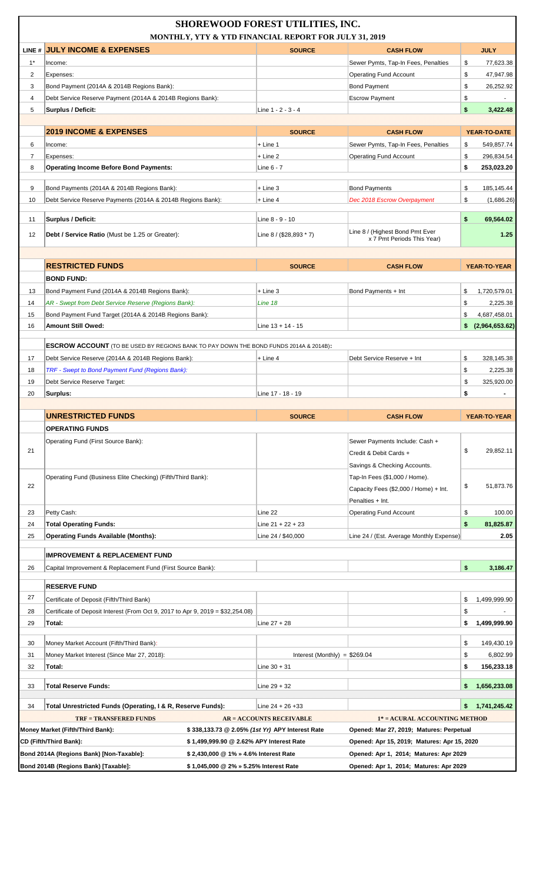|                | MONTHLY, YTY & YTD FINANCIAL REPORT FOR JULY 31, 2019                                        | <b>SHOREWOOD FOREST UTILITIES, INC.</b>         |                                             |                      |
|----------------|----------------------------------------------------------------------------------------------|-------------------------------------------------|---------------------------------------------|----------------------|
|                | LINE # JULY INCOME & EXPENSES                                                                | <b>SOURCE</b>                                   | <b>CASH FLOW</b>                            | <b>JULY</b>          |
| $1*$           | Income:                                                                                      |                                                 | Sewer Pymts, Tap-In Fees, Penalties         | 77,623.38<br>\$      |
| $\overline{2}$ | Expenses:                                                                                    |                                                 | <b>Operating Fund Account</b>               | \$<br>47,947.98      |
| 3              | Bond Payment (2014A & 2014B Regions Bank):                                                   |                                                 | <b>Bond Payment</b>                         | \$<br>26,252.92      |
| 4              | Debt Service Reserve Payment (2014A & 2014B Regions Bank):                                   |                                                 | <b>Escrow Payment</b>                       | \$                   |
| 5              | Surplus / Deficit:                                                                           | Line 1 - 2 - 3 - 4                              |                                             | \$<br>3,422.48       |
|                |                                                                                              |                                                 |                                             |                      |
|                | <b>2019 INCOME &amp; EXPENSES</b>                                                            | <b>SOURCE</b>                                   | <b>CASH FLOW</b>                            | YEAR-TO-DATE         |
| 6              | Income:                                                                                      | + Line 1                                        | Sewer Pymts, Tap-In Fees, Penalties         | \$<br>549,857.74     |
| $\overline{7}$ | Expenses:                                                                                    | + Line 2                                        | <b>Operating Fund Account</b>               | \$<br>296,834.54     |
| 8              | <b>Operating Income Before Bond Payments:</b>                                                | Line 6 - 7                                      |                                             | \$<br>253,023.20     |
|                |                                                                                              |                                                 |                                             |                      |
| 9              | Bond Payments (2014A & 2014B Regions Bank):                                                  | $+$ Line 3                                      | <b>Bond Payments</b>                        | \$<br>185,145.44     |
| 10             | Debt Service Reserve Payments (2014A & 2014B Regions Bank):                                  | $+$ Line 4                                      | Dec 2018 Escrow Overpayment                 | \$<br>(1,686.26)     |
| 11             | Surplus / Deficit:                                                                           | Line 8 - 9 - 10                                 |                                             | \$<br>69,564.02      |
|                |                                                                                              |                                                 | Line 8 / (Highest Bond Pmt Ever             |                      |
| 12             | <b>Debt / Service Ratio</b> (Must be 1.25 or Greater):                                       | Line $8 / (28,893 * 7)$                         | x 7 Pmt Periods This Year)                  | 1.25                 |
|                |                                                                                              |                                                 |                                             |                      |
|                | <b>RESTRICTED FUNDS</b>                                                                      | <b>SOURCE</b>                                   | <b>CASH FLOW</b>                            | <b>YEAR-TO-YEAR</b>  |
|                | <b>BOND FUND:</b>                                                                            |                                                 |                                             |                      |
|                |                                                                                              |                                                 |                                             |                      |
| 13             | Bond Payment Fund (2014A & 2014B Regions Bank):                                              | $+$ Line 3                                      | Bond Payments + Int                         | \$<br>1,720,579.01   |
| 14             | AR - Swept from Debt Service Reserve (Regions Bank):                                         | Line 18                                         |                                             | \$<br>2,225.38       |
| 15             | Bond Payment Fund Target (2014A & 2014B Regions Bank):                                       |                                                 |                                             | \$<br>4,687,458.01   |
| 16             | <b>Amount Still Owed:</b>                                                                    | Line $13 + 14 - 15$                             |                                             | (2,964,653.62)<br>\$ |
|                | <b>ESCROW ACCOUNT</b> (TO BE USED BY REGIONS BANK TO PAY DOWN THE BOND FUNDS 2014A & 2014B): |                                                 |                                             |                      |
| 17             | Debt Service Reserve (2014A & 2014B Regions Bank):                                           | + Line 4                                        | Debt Service Reserve + Int                  | \$<br>328,145.38     |
| 18             | TRF - Swept to Bond Payment Fund (Regions Bank):                                             |                                                 |                                             | \$<br>2,225.38       |
| 19             | Debt Service Reserve Target:                                                                 |                                                 |                                             | \$<br>325,920.00     |
| 20             | Surplus:                                                                                     | Line 17 - 18 - 19                               |                                             | \$<br>٠              |
|                |                                                                                              |                                                 |                                             |                      |
|                |                                                                                              |                                                 |                                             |                      |
|                |                                                                                              | <b>SOURCE</b>                                   |                                             |                      |
|                | <b>UNRESTRICTED FUNDS</b>                                                                    |                                                 | <b>CASH FLOW</b>                            | YEAR-TO-YEAR         |
|                | <b>OPERATING FUNDS</b>                                                                       |                                                 |                                             |                      |
| 21             | Operating Fund (First Source Bank):                                                          |                                                 | Sewer Payments Include: Cash +              | \$                   |
|                |                                                                                              |                                                 | Credit & Debit Cards +                      |                      |
|                |                                                                                              |                                                 | Savings & Checking Accounts.                |                      |
| 22             | Operating Fund (Business Elite Checking) (Fifth/Third Bank):                                 |                                                 | Tap-In Fees (\$1,000 / Home).               | \$<br>51,873.76      |
|                |                                                                                              |                                                 | Capacity Fees (\$2,000 / Home) + Int.       |                      |
|                |                                                                                              |                                                 | Penalties + Int.                            |                      |
| 23             | Petty Cash:                                                                                  | Line 22                                         | <b>Operating Fund Account</b>               | \$<br>100.00         |
| 24             | <b>Total Operating Funds:</b>                                                                | Line $21 + 22 + 23$                             |                                             | \$<br>81,825.87      |
| 25             | <b>Operating Funds Available (Months):</b>                                                   | Line 24 / \$40,000                              | Line 24 / (Est. Average Monthly Expense)    | 2.05                 |
|                | <b>IMPROVEMENT &amp; REPLACEMENT FUND</b>                                                    |                                                 |                                             |                      |
| 26             | Capital Improvement & Replacement Fund (First Source Bank):                                  |                                                 |                                             | \$<br>3,186.47       |
|                |                                                                                              |                                                 |                                             |                      |
|                | <b>RESERVE FUND</b>                                                                          |                                                 |                                             |                      |
| 27             | Certificate of Deposit (Fifth/Third Bank)                                                    |                                                 |                                             | 1,499,999.90<br>\$   |
| 28             | Certificate of Deposit Interest (From Oct 9, 2017 to Apr 9, 2019 = \$32,254.08)              |                                                 |                                             | \$                   |
| 29             | Total:                                                                                       | Line $27 + 28$                                  |                                             | 1,499,999.90<br>\$   |
|                |                                                                                              |                                                 |                                             |                      |
| 30             | Money Market Account (Fifth/Third Bank):                                                     |                                                 |                                             | \$<br>149,430.19     |
| 31             | Money Market Interest (Since Mar 27, 2018):                                                  | Interest (Monthly) = $$269.04$                  |                                             | \$<br>6,802.99       |
| 32             | Total:                                                                                       | Line $30 + 31$                                  |                                             | \$<br>156,233.18     |
| 33             | <b>Total Reserve Funds:</b>                                                                  | Line $29 + 32$                                  |                                             | 1,656,233.08<br>S.   |
|                |                                                                                              |                                                 |                                             |                      |
| 34             | Total Unrestricted Funds (Operating, I & R, Reserve Funds):                                  | Line 24 + 26 +33                                |                                             | 1,741,245.42         |
|                | <b>TRF = TRANSFERED FUNDS</b>                                                                | <b>AR = ACCOUNTS RECEIVABLE</b>                 | 1* = ACURAL ACCOUNTING METHOD               | 29,852.11            |
|                | Money Market (Fifth/Third Bank):                                                             | \$338,133.73 @ 2.05% (1st Yr) APY Interest Rate | Opened: Mar 27, 2019; Matures: Perpetual    |                      |
|                | CD (Fifth/Third Bank):<br>\$1,499,999.90 @ 2.62% APY Interest Rate                           |                                                 | Opened: Apr 15, 2019; Matures: Apr 15, 2020 |                      |
|                | Bond 2014A (Regions Bank) [Non-Taxable]:<br>\$2,430,000 @ 1% » 4.6% Interest Rate            |                                                 | Opened: Apr 1, 2014; Matures: Apr 2029      |                      |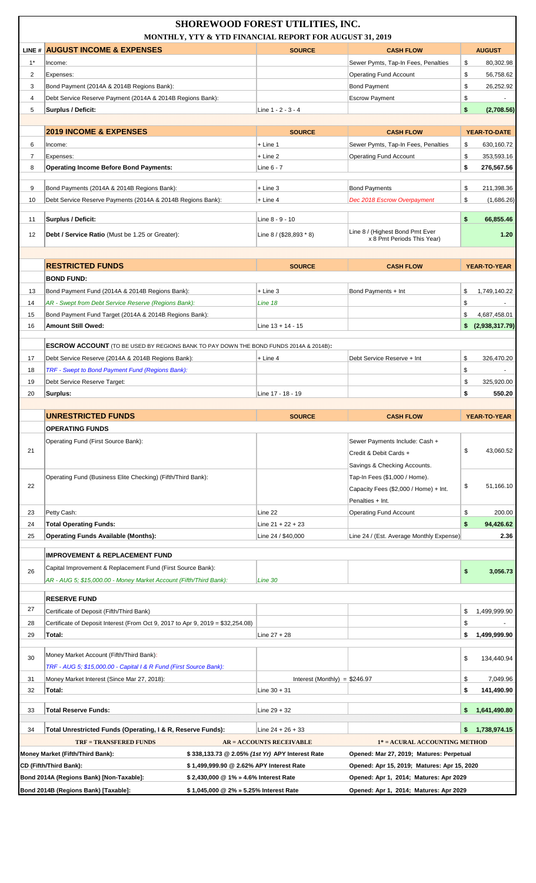|                | MONTHLY, YTY & YTD FINANCIAL REPORT FOR AUGUST 31, 2019                                      | <b>SHOREWOOD FOREST UTILITIES, INC.</b>                                            |                                                                           |                                 |
|----------------|----------------------------------------------------------------------------------------------|------------------------------------------------------------------------------------|---------------------------------------------------------------------------|---------------------------------|
|                | LINE # AUGUST INCOME & EXPENSES                                                              | <b>SOURCE</b>                                                                      | <b>CASH FLOW</b>                                                          | <b>AUGUST</b>                   |
| $1^*$          | Income:                                                                                      |                                                                                    | Sewer Pymts, Tap-In Fees, Penalties                                       | \$<br>80,302.98                 |
| $\overline{2}$ | Expenses:                                                                                    |                                                                                    | <b>Operating Fund Account</b>                                             | \$<br>56,758.62                 |
| 3              | Bond Payment (2014A & 2014B Regions Bank):                                                   |                                                                                    | <b>Bond Payment</b>                                                       | \$<br>26,252.92                 |
| $\overline{4}$ | Debt Service Reserve Payment (2014A & 2014B Regions Bank):                                   |                                                                                    | <b>Escrow Payment</b>                                                     | \$                              |
| 5              | Surplus / Deficit:                                                                           | Line 1 - 2 - 3 - 4                                                                 |                                                                           | \$<br>(2,708.56)                |
|                |                                                                                              |                                                                                    |                                                                           |                                 |
|                | <b>2019 INCOME &amp; EXPENSES</b>                                                            | <b>SOURCE</b>                                                                      | <b>CASH FLOW</b>                                                          | YEAR-TO-DATE                    |
| 6              | Income:                                                                                      | $+$ Line 1                                                                         | Sewer Pymts, Tap-In Fees, Penalties                                       | \$<br>630,160.72                |
| $\overline{7}$ | Expenses:                                                                                    | $+$ Line 2                                                                         | <b>Operating Fund Account</b>                                             | \$<br>353,593.16                |
| 8              | <b>Operating Income Before Bond Payments:</b>                                                | Line $6 - 7$                                                                       |                                                                           | \$<br>276,567.56                |
| 9              | Bond Payments (2014A & 2014B Regions Bank):                                                  | + Line 3                                                                           | <b>Bond Payments</b>                                                      | \$<br>211,398.36                |
| 10             | Debt Service Reserve Payments (2014A & 2014B Regions Bank):                                  | $+$ Line 4                                                                         | Dec 2018 Escrow Overpayment                                               | \$<br>(1,686.26)                |
|                |                                                                                              |                                                                                    |                                                                           |                                 |
| 11             | Surplus / Deficit:                                                                           | Line 8 - 9 - 10                                                                    |                                                                           | \$<br>66,855.46                 |
| 12             | <b>Debt / Service Ratio</b> (Must be 1.25 or Greater):                                       | Line 8 / (\$28,893 * 8)                                                            | Line 8 / (Highest Bond Pmt Ever<br>x 8 Pmt Periods This Year)             | 1.20                            |
|                |                                                                                              |                                                                                    |                                                                           |                                 |
|                | <b>RESTRICTED FUNDS</b>                                                                      | <b>SOURCE</b>                                                                      | <b>CASH FLOW</b>                                                          | <b>YEAR-TO-YEAR</b>             |
|                | <b>BOND FUND:</b>                                                                            |                                                                                    |                                                                           |                                 |
| 13             | Bond Payment Fund (2014A & 2014B Regions Bank):                                              | + Line 3                                                                           | Bond Payments + Int                                                       | \$<br>1,749,140.22              |
| 14             | AR - Swept from Debt Service Reserve (Regions Bank):                                         | Line 18                                                                            |                                                                           | \$                              |
| 15             | Bond Payment Fund Target (2014A & 2014B Regions Bank):                                       |                                                                                    |                                                                           | \$<br>4,687,458.01              |
| 16             | Amount Still Owed:                                                                           | Line $13 + 14 - 15$                                                                |                                                                           | \$<br>(2,938,317.79)            |
|                | <b>ESCROW ACCOUNT</b> (TO BE USED BY REGIONS BANK TO PAY DOWN THE BOND FUNDS 2014A & 2014B): |                                                                                    |                                                                           |                                 |
| 17             | Debt Service Reserve (2014A & 2014B Regions Bank):                                           | + Line 4                                                                           | Debt Service Reserve + Int                                                | \$<br>326,470.20                |
| 18             | TRF - Swept to Bond Payment Fund (Regions Bank):                                             |                                                                                    |                                                                           | \$<br>$\blacksquare$            |
| 19             | Debt Service Reserve Target:                                                                 |                                                                                    |                                                                           | \$<br>325,920.00                |
| 20             | Surplus:                                                                                     | Line 17 - 18 - 19                                                                  |                                                                           | \$<br>550.20                    |
|                |                                                                                              |                                                                                    |                                                                           |                                 |
|                |                                                                                              |                                                                                    |                                                                           |                                 |
|                |                                                                                              |                                                                                    |                                                                           |                                 |
|                | <b>UNRESTRICTED FUNDS</b><br><b>OPERATING FUNDS</b>                                          | <b>SOURCE</b>                                                                      | <b>CASH FLOW</b>                                                          | YEAR-TO-YEAR                    |
|                |                                                                                              |                                                                                    |                                                                           |                                 |
| 21             | Operating Fund (First Source Bank):                                                          |                                                                                    | Sewer Payments Include: Cash +                                            | \$<br>43,060.52                 |
|                |                                                                                              |                                                                                    | Credit & Debit Cards +                                                    |                                 |
|                |                                                                                              |                                                                                    | Savings & Checking Accounts.                                              |                                 |
| 22             | Operating Fund (Business Elite Checking) (Fifth/Third Bank):                                 |                                                                                    | Tap-In Fees (\$1,000 / Home).                                             | 51,166.10<br>\$                 |
|                |                                                                                              |                                                                                    | Capacity Fees (\$2,000 / Home) + Int.                                     |                                 |
|                |                                                                                              |                                                                                    | Penalties + Int.                                                          |                                 |
| 23<br>24       | Petty Cash:<br><b>Total Operating Funds:</b>                                                 | Line 22<br>Line $21 + 22 + 23$                                                     | <b>Operating Fund Account</b>                                             | \$<br>200.00<br>\$<br>94,426.62 |
| 25             | <b>Operating Funds Available (Months):</b>                                                   | Line 24 / \$40,000                                                                 | Line 24 / (Est. Average Monthly Expense)                                  | 2.36                            |
|                |                                                                                              |                                                                                    |                                                                           |                                 |
|                | <b>IMPROVEMENT &amp; REPLACEMENT FUND</b>                                                    |                                                                                    |                                                                           |                                 |
| 26             | Capital Improvement & Replacement Fund (First Source Bank):                                  |                                                                                    |                                                                           | \$<br>3,056.73                  |
|                | AR - AUG 5; \$15,000.00 - Money Market Account (Fifth/Third Bank):                           | Line 30                                                                            |                                                                           |                                 |
|                |                                                                                              |                                                                                    |                                                                           |                                 |
| 27             | <b>RESERVE FUND</b>                                                                          |                                                                                    |                                                                           |                                 |
|                | Certificate of Deposit (Fifth/Third Bank)                                                    |                                                                                    |                                                                           | \$<br>1,499,999.90              |
| 28             | Certificate of Deposit Interest (From Oct 9, 2017 to Apr 9, 2019 = \$32,254.08)              |                                                                                    |                                                                           | \$                              |
| 29             | Total:                                                                                       | Line $27 + 28$                                                                     |                                                                           | \$<br>1,499,999.90              |
| 30             | Money Market Account (Fifth/Third Bank):                                                     |                                                                                    |                                                                           | \$                              |
|                | TRF - AUG 5; \$15,000.00 - Capital I & R Fund (First Source Bank):                           |                                                                                    |                                                                           | 134,440.94                      |
| 31             | Money Market Interest (Since Mar 27, 2018):                                                  | Interest (Monthly) = $$246.97$                                                     |                                                                           | \$<br>7,049.96                  |
| 32             | Total:                                                                                       | Line $30 + 31$                                                                     |                                                                           | \$<br>141,490.90                |
|                |                                                                                              |                                                                                    |                                                                           |                                 |
| 33             | <b>Total Reserve Funds:</b>                                                                  | Line $29 + 32$                                                                     |                                                                           | 1,641,490.80<br>\$              |
| 34             |                                                                                              |                                                                                    |                                                                           | \$.                             |
|                | Total Unrestricted Funds (Operating, I & R, Reserve Funds):<br><b>TRF = TRANSFERED FUNDS</b> | Line $24 + 26 + 33$                                                                |                                                                           | 1,738,974.15                    |
|                | Money Market (Fifth/Third Bank):                                                             | <b>AR = ACCOUNTS RECEIVABLE</b><br>\$338,133.73 @ 2.05% (1st Yr) APY Interest Rate | 1* = ACURAL ACCOUNTING METHOD<br>Opened: Mar 27, 2019; Matures: Perpetual |                                 |
|                | CD (Fifth/Third Bank):<br>\$1,499,999.90 @ 2.62% APY Interest Rate                           |                                                                                    | Opened: Apr 15, 2019; Matures: Apr 15, 2020                               |                                 |
|                | Bond 2014A (Regions Bank) [Non-Taxable]:<br>\$2,430,000 @ 1% » 4.6% Interest Rate            |                                                                                    | Opened: Apr 1, 2014; Matures: Apr 2029                                    |                                 |
|                | Bond 2014B (Regions Bank) [Taxable]:<br>\$1,045,000 @ 2% » 5.25% Interest Rate               |                                                                                    | Opened: Apr 1, 2014; Matures: Apr 2029                                    |                                 |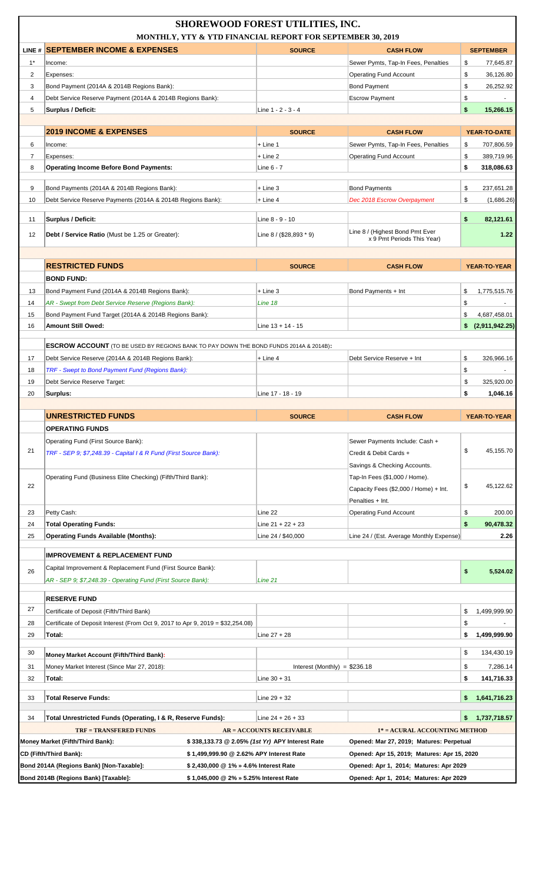|                     | MONTHLY, YTY & YTD FINANCIAL REPORT FOR SEPTEMBER 30, 2019                                   | <b>SHOREWOOD FOREST UTILITIES, INC.</b>         |                                                                        |                                      |
|---------------------|----------------------------------------------------------------------------------------------|-------------------------------------------------|------------------------------------------------------------------------|--------------------------------------|
|                     | LINE # SEPTEMBER INCOME & EXPENSES                                                           | <b>SOURCE</b>                                   | <b>CASH FLOW</b>                                                       | <b>SEPTEMBER</b>                     |
| $1^*$               | Income:                                                                                      |                                                 | Sewer Pymts, Tap-In Fees, Penalties                                    | \$<br>77,645.87                      |
| $\overline{2}$      | Expenses:                                                                                    |                                                 | <b>Operating Fund Account</b>                                          | \$<br>36,126.80                      |
| 3                   | Bond Payment (2014A & 2014B Regions Bank):                                                   |                                                 | <b>Bond Payment</b>                                                    | \$<br>26,252.92                      |
| 4                   | Debt Service Reserve Payment (2014A & 2014B Regions Bank):                                   |                                                 | <b>Escrow Payment</b>                                                  | \$                                   |
| 5                   | Surplus / Deficit:                                                                           | Line 1 - 2 - 3 - 4                              |                                                                        | \$<br>15,266.15                      |
|                     |                                                                                              |                                                 |                                                                        |                                      |
|                     | <b>2019 INCOME &amp; EXPENSES</b>                                                            | <b>SOURCE</b>                                   | <b>CASH FLOW</b>                                                       | YEAR-TO-DATE                         |
| 6<br>$\overline{7}$ | Income:<br>Expenses:                                                                         | $+$ Line 1<br>$+$ Line 2                        | Sewer Pymts, Tap-In Fees, Penalties<br><b>Operating Fund Account</b>   | \$<br>707,806.59<br>\$<br>389,719.96 |
| 8                   | <b>Operating Income Before Bond Payments:</b>                                                | Line 6 - 7                                      |                                                                        | \$<br>318,086.63                     |
|                     |                                                                                              |                                                 |                                                                        |                                      |
| 9                   | Bond Payments (2014A & 2014B Regions Bank):                                                  | $+$ Line 3                                      | <b>Bond Payments</b>                                                   | \$<br>237,651.28                     |
| 10                  | Debt Service Reserve Payments (2014A & 2014B Regions Bank):                                  | $+$ Line 4                                      | Dec 2018 Escrow Overpayment                                            | \$<br>(1,686.26)                     |
| 11                  | Surplus / Deficit:                                                                           | Line 8 - 9 - 10                                 |                                                                        | \$<br>82,121.61                      |
|                     |                                                                                              |                                                 | Line 8 / (Highest Bond Pmt Ever                                        |                                      |
| 12                  | <b>Debt / Service Ratio</b> (Must be 1.25 or Greater):                                       | Line $8 / (28,893 * 9)$                         | x 9 Pmt Periods This Year)                                             | 1.22                                 |
|                     |                                                                                              |                                                 |                                                                        |                                      |
|                     | <b>RESTRICTED FUNDS</b>                                                                      | <b>SOURCE</b>                                   | <b>CASH FLOW</b>                                                       | YEAR-TO-YEAR                         |
|                     | <b>BOND FUND:</b>                                                                            |                                                 |                                                                        |                                      |
| 13                  | Bond Payment Fund (2014A & 2014B Regions Bank):                                              | $+$ Line 3                                      | Bond Payments + Int                                                    | \$<br>1,775,515.76                   |
| 14                  | AR - Swept from Debt Service Reserve (Regions Bank):                                         | Line 18                                         |                                                                        | \$                                   |
| 15                  | Bond Payment Fund Target (2014A & 2014B Regions Bank):                                       |                                                 |                                                                        | \$<br>4,687,458.01                   |
| 16                  | Amount Still Owed:                                                                           | Line $13 + 14 - 15$                             |                                                                        | \$<br>(2,911,942.25)                 |
|                     | <b>ESCROW ACCOUNT</b> (TO BE USED BY REGIONS BANK TO PAY DOWN THE BOND FUNDS 2014A & 2014B): |                                                 |                                                                        |                                      |
| 17                  | Debt Service Reserve (2014A & 2014B Regions Bank):                                           | $+$ Line 4                                      | Debt Service Reserve + Int                                             | \$<br>326,966.16                     |
| 18                  | <b>TRF - Swept to Bond Payment Fund (Regions Bank):</b>                                      |                                                 |                                                                        | \$                                   |
| 19                  | Debt Service Reserve Target:                                                                 |                                                 |                                                                        | \$<br>325,920.00                     |
| 20                  | Surplus:                                                                                     | Line 17 - 18 - 19                               |                                                                        | \$<br>1.046.16                       |
|                     |                                                                                              |                                                 |                                                                        |                                      |
|                     | <b>UNRESTRICTED FUNDS</b>                                                                    | <b>SOURCE</b>                                   | <b>CASH FLOW</b>                                                       | YEAR-TO-YEAR                         |
|                     | <b>OPERATING FUNDS</b>                                                                       |                                                 |                                                                        |                                      |
| 21                  | Operating Fund (First Source Bank):                                                          |                                                 | Sewer Payments Include: Cash +                                         | \$<br>45,155.70                      |
|                     | TRF - SEP 9: \$7,248.39 - Capital I & R Fund (First Source Bank):                            |                                                 | Credit & Debit Cards +                                                 |                                      |
|                     |                                                                                              |                                                 | Savings & Checking Accounts.                                           |                                      |
| 22                  | Operating Fund (Business Elite Checking) (Fifth/Third Bank):                                 |                                                 | Tap-In Fees (\$1,000 / Home).<br>Capacity Fees (\$2,000 / Home) + Int. | \$<br>45.122.62                      |
|                     |                                                                                              |                                                 | Penalties + Int.                                                       |                                      |
| 23                  | Petty Cash:                                                                                  | Line 22                                         | <b>Operating Fund Account</b>                                          | \$<br>200.00                         |
| 24                  | <b>Total Operating Funds:</b>                                                                | Line $21 + 22 + 23$                             |                                                                        | \$<br>90,478.32                      |
| 25                  | <b>Operating Funds Available (Months):</b>                                                   | Line 24 / \$40,000                              | Line 24 / (Est. Average Monthly Expense)                               | 2.26                                 |
|                     |                                                                                              |                                                 |                                                                        |                                      |
|                     | <b>IMPROVEMENT &amp; REPLACEMENT FUND</b>                                                    |                                                 |                                                                        |                                      |
| 26                  | Capital Improvement & Replacement Fund (First Source Bank):                                  |                                                 |                                                                        | \$<br>5,524.02                       |
|                     | AR - SEP 9; \$7,248.39 - Operating Fund (First Source Bank):                                 | Line 21                                         |                                                                        |                                      |
|                     | <b>RESERVE FUND</b>                                                                          |                                                 |                                                                        |                                      |
| 27                  | Certificate of Deposit (Fifth/Third Bank)                                                    |                                                 |                                                                        | \$<br>1,499,999.90                   |
| 28                  | Certificate of Deposit Interest (From Oct 9, 2017 to Apr 9, 2019 = $$32,254.08$ )            |                                                 |                                                                        | \$                                   |
| 29                  | Total:                                                                                       | Line $27 + 28$                                  |                                                                        | 1,499,999.90<br>\$                   |
| 30                  | Money Market Account (Fifth/Third Bank):                                                     |                                                 |                                                                        | \$<br>134,430.19                     |
| 31                  | Money Market Interest (Since Mar 27, 2018):                                                  | Interest (Monthly) = $$236.18$                  |                                                                        | \$<br>7,286.14                       |
| 32                  | Total:                                                                                       | Line $30 + 31$                                  |                                                                        | \$<br>141,716.33                     |
|                     |                                                                                              |                                                 |                                                                        |                                      |
|                     |                                                                                              |                                                 |                                                                        |                                      |
| 33                  | <b>Total Reserve Funds:</b>                                                                  | Line $29 + 32$                                  |                                                                        | 1,641,716.23<br>\$                   |
| 34                  | Total Unrestricted Funds (Operating, I & R, Reserve Funds):                                  | Line $24 + 26 + 33$                             |                                                                        | 1,737,718.57                         |
|                     | <b>TRF = TRANSFERED FUNDS</b>                                                                | <b>AR = ACCOUNTS RECEIVABLE</b>                 | 1* = ACURAL ACCOUNTING METHOD                                          |                                      |
|                     | Money Market (Fifth/Third Bank):                                                             | \$338,133.73 @ 2.05% (1st Yr) APY Interest Rate | Opened: Mar 27, 2019; Matures: Perpetual                               |                                      |
|                     | CD (Fifth/Third Bank):<br>\$1,499,999.90 @ 2.62% APY Interest Rate                           |                                                 | Opened: Apr 15, 2019; Matures: Apr 15, 2020                            |                                      |
|                     | Bond 2014A (Regions Bank) [Non-Taxable]:<br>\$2,430,000 @ 1% » 4.6% Interest Rate            |                                                 | Opened: Apr 1, 2014; Matures: Apr 2029                                 |                                      |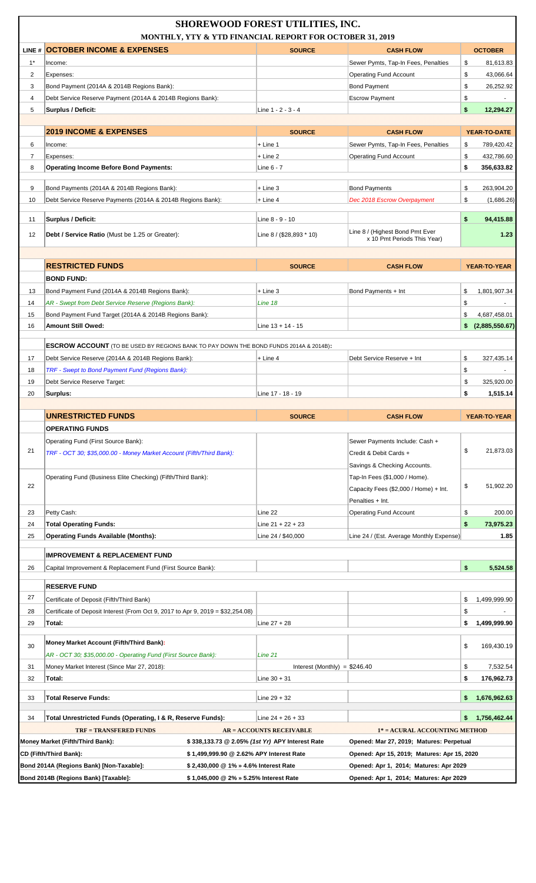|                | MONTHLY, YTY & YTD FINANCIAL REPORT FOR OCTOBER 31, 2019                                                                     | <b>SHOREWOOD FOREST UTILITIES, INC.</b>         |                                                                |                          |
|----------------|------------------------------------------------------------------------------------------------------------------------------|-------------------------------------------------|----------------------------------------------------------------|--------------------------|
|                | LINE # OCTOBER INCOME & EXPENSES                                                                                             | <b>SOURCE</b>                                   | <b>CASH FLOW</b>                                               | <b>OCTOBER</b>           |
| $1^*$          | Income:                                                                                                                      |                                                 | Sewer Pymts, Tap-In Fees, Penalties                            | \$<br>81,613.83          |
| $\overline{2}$ | Expenses:                                                                                                                    |                                                 | <b>Operating Fund Account</b>                                  | \$<br>43,066.64          |
| 3              | Bond Payment (2014A & 2014B Regions Bank):                                                                                   |                                                 | <b>Bond Payment</b>                                            | \$<br>26,252.92          |
| $\overline{4}$ | Debt Service Reserve Payment (2014A & 2014B Regions Bank):                                                                   |                                                 | <b>Escrow Payment</b>                                          | \$                       |
| 5              | <b>Surplus / Deficit:</b>                                                                                                    | Line $1 - 2 - 3 - 4$                            |                                                                | \$<br>12,294.27          |
|                | <b>2019 INCOME &amp; EXPENSES</b>                                                                                            | <b>SOURCE</b>                                   | <b>CASH FLOW</b>                                               | YEAR-TO-DATE             |
| 6              | Income:                                                                                                                      | $+$ Line 1                                      | Sewer Pymts, Tap-In Fees, Penalties                            | \$<br>789,420.42         |
| $\overline{7}$ | Expenses:                                                                                                                    | $+$ Line 2                                      | <b>Operating Fund Account</b>                                  | \$<br>432,786.60         |
| 8              | <b>Operating Income Before Bond Payments:</b>                                                                                | Line 6 - 7                                      |                                                                | \$<br>356,633.82         |
|                |                                                                                                                              |                                                 |                                                                |                          |
| 9              | Bond Payments (2014A & 2014B Regions Bank):                                                                                  | $+$ Line 3                                      | <b>Bond Payments</b>                                           | \$<br>263,904.20         |
| 10             | Debt Service Reserve Payments (2014A & 2014B Regions Bank):                                                                  | $+$ Line 4                                      | Dec 2018 Escrow Overpayment                                    | \$<br>(1,686.26)         |
| 11             | Surplus / Deficit:                                                                                                           | Line 8 - 9 - 10                                 |                                                                | \$<br>94,415.88          |
| 12             | Debt / Service Ratio (Must be 1.25 or Greater):                                                                              | Line 8 / (\$28,893 * 10)                        | Line 8 / (Highest Bond Pmt Ever<br>x 10 Pmt Periods This Year) | 1.23                     |
|                |                                                                                                                              |                                                 |                                                                |                          |
|                | <b>RESTRICTED FUNDS</b>                                                                                                      | <b>SOURCE</b>                                   | <b>CASH FLOW</b>                                               | YEAR-TO-YEAR             |
|                | <b>BOND FUND:</b>                                                                                                            |                                                 |                                                                |                          |
| 13             | Bond Payment Fund (2014A & 2014B Regions Bank):                                                                              | $+$ Line 3                                      | Bond Payments + Int                                            | \$<br>1,801,907.34       |
| 14             | AR - Swept from Debt Service Reserve (Regions Bank):                                                                         | Line 18                                         |                                                                | \$                       |
| 15             | Bond Payment Fund Target (2014A & 2014B Regions Bank):                                                                       |                                                 |                                                                | \$<br>4,687,458.01       |
| 16             | <b>Amount Still Owed:</b>                                                                                                    | Line $13 + 14 - 15$                             |                                                                | (2,885,550.67)<br>\$     |
|                | <b>ESCROW ACCOUNT</b> (TO BE USED BY REGIONS BANK TO PAY DOWN THE BOND FUNDS 2014A & 2014B):                                 |                                                 |                                                                |                          |
| 17             | Debt Service Reserve (2014A & 2014B Regions Bank):                                                                           | $+$ Line 4                                      | Debt Service Reserve + Int                                     | \$<br>327,435.14         |
| 18             | TRF - Swept to Bond Payment Fund (Regions Bank):                                                                             |                                                 |                                                                | \$                       |
| 19             | Debt Service Reserve Target:                                                                                                 |                                                 |                                                                | \$<br>325,920.00         |
| 20             | Surplus:                                                                                                                     | Line 17 - 18 - 19                               |                                                                | 1,515.14<br>\$           |
|                |                                                                                                                              |                                                 |                                                                |                          |
|                | <b>UNRESTRICTED FUNDS</b><br><b>OPERATING FUNDS</b>                                                                          | <b>SOURCE</b>                                   | <b>CASH FLOW</b>                                               | YEAR-TO-YEAR             |
|                | Operating Fund (First Source Bank):                                                                                          |                                                 | Sewer Payments Include: Cash +                                 |                          |
| 21             | TRF - OCT 30; \$35,000.00 - Money Market Account (Fifth/Third Bank):                                                         |                                                 | Credit & Debit Cards +                                         | \$<br>21,873.03          |
|                |                                                                                                                              |                                                 | Savings & Checking Accounts.                                   |                          |
|                | Operating Fund (Business Elite Checking) (Fifth/Third Bank):                                                                 |                                                 | Tap-In Fees (\$1,000 / Home).                                  |                          |
| 22             |                                                                                                                              |                                                 | Capacity Fees (\$2,000 / Home) + Int.                          | \$<br>51,902.20          |
|                |                                                                                                                              |                                                 | Penalties + Int.                                               |                          |
| 23             | Petty Cash:                                                                                                                  | Line 22                                         | <b>Operating Fund Account</b>                                  | \$<br>200.00             |
| 24             | <b>Total Operating Funds:</b>                                                                                                | Line $21 + 22 + 23$                             |                                                                | \$<br>73,975.23          |
| 25             | <b>Operating Funds Available (Months):</b>                                                                                   | Line 24 / \$40,000                              | Line 24 / (Est. Average Monthly Expense)                       | 1.85                     |
|                | <b>IMPROVEMENT &amp; REPLACEMENT FUND</b>                                                                                    |                                                 |                                                                |                          |
| 26             | Capital Improvement & Replacement Fund (First Source Bank):                                                                  |                                                 |                                                                | \$<br>5,524.58           |
|                |                                                                                                                              |                                                 |                                                                |                          |
| 27             | <b>RESERVE FUND</b>                                                                                                          |                                                 |                                                                |                          |
| 28             | Certificate of Deposit (Fifth/Third Bank)<br>Certificate of Deposit Interest (From Oct 9, 2017 to Apr 9, 2019 = \$32,254.08) |                                                 |                                                                | \$<br>1,499,999.90<br>\$ |
| 29             | Total:                                                                                                                       | Line $27 + 28$                                  |                                                                | 1,499,999.90<br>\$       |
|                |                                                                                                                              |                                                 |                                                                |                          |
| 30             | <b>Money Market Account (Fifth/Third Bank):</b>                                                                              |                                                 |                                                                | \$<br>169,430.19         |
|                | AR - OCT 30; \$35,000.00 - Operating Fund (First Source Bank):                                                               | Line 21                                         |                                                                |                          |
| 31             | Money Market Interest (Since Mar 27, 2018):                                                                                  | Interest (Monthly) = $$246.40$                  |                                                                | \$<br>7,532.54<br>\$     |
| 32             | Total:                                                                                                                       | Line $30 + 31$                                  |                                                                | 176,962.73               |
| 33             | <b>Total Reserve Funds:</b>                                                                                                  | Line $29 + 32$                                  |                                                                | \$<br>1,676,962.63       |
| 34             | Total Unrestricted Funds (Operating, I & R, Reserve Funds):                                                                  | Line $24 + 26 + 33$                             |                                                                | 1,756,462.44             |
|                | <b>TRF = TRANSFERED FUNDS</b>                                                                                                | <b>AR = ACCOUNTS RECEIVABLE</b>                 | 1* = ACURAL ACCOUNTING METHOD                                  |                          |
|                | Money Market (Fifth/Third Bank):                                                                                             | \$338,133.73 @ 2.05% (1st Yr) APY Interest Rate | Opened: Mar 27, 2019; Matures: Perpetual                       |                          |
|                | \$1,499,999.90 @ 2.62% APY Interest Rate<br>CD (Fifth/Third Bank):                                                           |                                                 | Opened: Apr 15, 2019; Matures: Apr 15, 2020                    |                          |
|                | Bond 2014A (Regions Bank) [Non-Taxable]:<br>\$2,430,000 @ 1% » 4.6% Interest Rate                                            |                                                 | Opened: Apr 1, 2014; Matures: Apr 2029                         |                          |
|                | Bond 2014B (Regions Bank) [Taxable]:<br>\$1,045,000 @ 2% » 5.25% Interest Rate                                               |                                                 | Opened: Apr 1, 2014; Matures: Apr 2029                         |                          |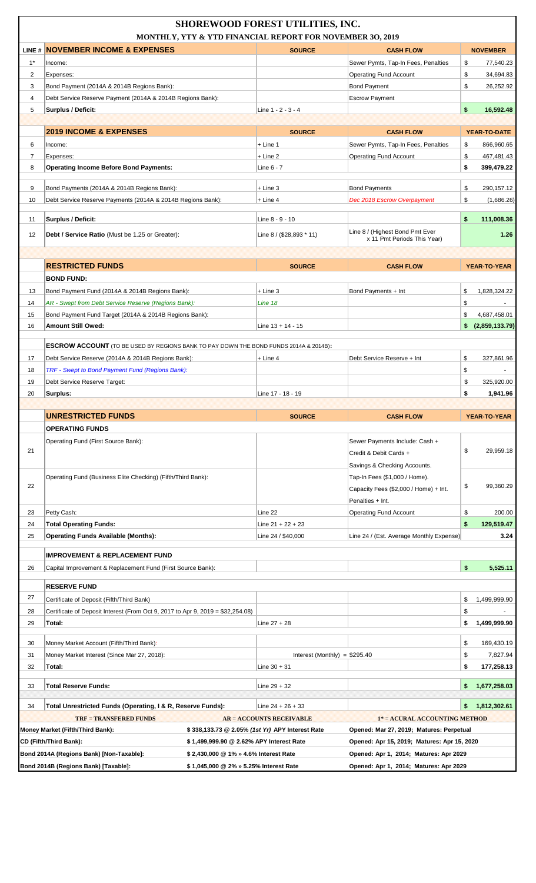|                | MONTHLY, YTY & YTD FINANCIAL REPORT FOR NOVEMBER 30, 2019                                                      | <b>SHOREWOOD FOREST UTILITIES, INC.</b>         |                                                                                         |                                    |
|----------------|----------------------------------------------------------------------------------------------------------------|-------------------------------------------------|-----------------------------------------------------------------------------------------|------------------------------------|
|                | LINE # NOVEMBER INCOME & EXPENSES                                                                              | <b>SOURCE</b>                                   | <b>CASH FLOW</b>                                                                        | <b>NOVEMBER</b>                    |
| $1^*$          | Income:                                                                                                        |                                                 | Sewer Pymts, Tap-In Fees, Penalties                                                     | \$<br>77,540.23                    |
| $\overline{2}$ | Expenses:                                                                                                      |                                                 | <b>Operating Fund Account</b>                                                           | \$<br>34,694.83                    |
| 3              | Bond Payment (2014A & 2014B Regions Bank):                                                                     |                                                 | <b>Bond Payment</b>                                                                     | \$<br>26,252.92                    |
| $\overline{4}$ | Debt Service Reserve Payment (2014A & 2014B Regions Bank):                                                     |                                                 | <b>Escrow Payment</b>                                                                   |                                    |
| 5              | Surplus / Deficit:                                                                                             | Line 1 - 2 - 3 - 4                              |                                                                                         | \$<br>16,592.48                    |
|                |                                                                                                                |                                                 |                                                                                         |                                    |
|                | <b>2019 INCOME &amp; EXPENSES</b>                                                                              | <b>SOURCE</b>                                   | <b>CASH FLOW</b>                                                                        | YEAR-TO-DATE                       |
| 6              | Income:                                                                                                        | + Line 1                                        | Sewer Pymts, Tap-In Fees, Penalties                                                     | \$<br>866,960.65                   |
| $\overline{7}$ | Expenses:                                                                                                      | + Line 2                                        | <b>Operating Fund Account</b>                                                           | \$<br>467,481.43                   |
| 8              | <b>Operating Income Before Bond Payments:</b>                                                                  | Line 6 - 7                                      |                                                                                         | \$<br>399,479.22                   |
| 9              | Bond Payments (2014A & 2014B Regions Bank):                                                                    | + Line 3                                        | <b>Bond Payments</b>                                                                    | \$<br>290,157.12                   |
| 10             | Debt Service Reserve Payments (2014A & 2014B Regions Bank):                                                    | $+$ Line 4                                      | Dec 2018 Escrow Overpayment                                                             | \$<br>(1,686.26)                   |
|                |                                                                                                                |                                                 |                                                                                         |                                    |
| 11             | Surplus / Deficit:                                                                                             | Line 8 - 9 - 10                                 |                                                                                         | \$<br>111,008.36                   |
| 12             | Debt / Service Ratio (Must be 1.25 or Greater):                                                                | Line 8 / (\$28,893 * 11)                        | Line 8 / (Highest Bond Pmt Ever<br>x 11 Pmt Periods This Year)                          | 1.26                               |
|                |                                                                                                                |                                                 |                                                                                         |                                    |
|                | <b>RESTRICTED FUNDS</b>                                                                                        | <b>SOURCE</b>                                   | <b>CASH FLOW</b>                                                                        | YEAR-TO-YEAR                       |
|                | <b>BOND FUND:</b>                                                                                              | + Line 3                                        |                                                                                         | 1,828,324.22                       |
| 13<br>14       | Bond Payment Fund (2014A & 2014B Regions Bank):                                                                | Line 18                                         | Bond Payments + Int                                                                     | \$<br>\$                           |
| 15             | AR - Swept from Debt Service Reserve (Regions Bank):<br>Bond Payment Fund Target (2014A & 2014B Regions Bank): |                                                 |                                                                                         | \$<br>4,687,458.01                 |
| 16             | <b>Amount Still Owed:</b>                                                                                      | Line $13 + 14 - 15$                             |                                                                                         | \$ (2,859,133.79)                  |
|                |                                                                                                                |                                                 |                                                                                         |                                    |
|                | <b>ESCROW ACCOUNT</b> (TO BE USED BY REGIONS BANK TO PAY DOWN THE BOND FUNDS 2014A & 2014B):                   |                                                 |                                                                                         |                                    |
| 17             | Debt Service Reserve (2014A & 2014B Regions Bank):                                                             | + Line 4                                        | Debt Service Reserve + Int                                                              | \$<br>327,861.96                   |
| 18             | TRF - Swept to Bond Payment Fund (Regions Bank):                                                               |                                                 |                                                                                         | \$                                 |
| 19             | Debt Service Reserve Target:                                                                                   |                                                 |                                                                                         | \$<br>325,920.00                   |
| 20             | Surplus:                                                                                                       | Line 17 - 18 - 19                               |                                                                                         | \$<br>1,941.96                     |
|                |                                                                                                                |                                                 |                                                                                         |                                    |
|                |                                                                                                                |                                                 |                                                                                         |                                    |
|                | <b>UNRESTRICTED FUNDS</b>                                                                                      | <b>SOURCE</b>                                   | <b>CASH FLOW</b>                                                                        | YEAR-TO-YEAR                       |
|                | <b>OPERATING FUNDS</b>                                                                                         |                                                 |                                                                                         |                                    |
|                | Operating Fund (First Source Bank):                                                                            |                                                 | Sewer Payments Include: Cash +                                                          |                                    |
| 21             |                                                                                                                |                                                 | Credit & Debit Cards +                                                                  | \$<br>29,959.18                    |
|                |                                                                                                                |                                                 | Savings & Checking Accounts.                                                            |                                    |
|                | Operating Fund (Business Elite Checking) (Fifth/Third Bank):                                                   |                                                 | Tap-In Fees (\$1,000 / Home).                                                           |                                    |
| 22             |                                                                                                                |                                                 | Capacity Fees (\$2,000 / Home) + Int.                                                   | \$<br>99,360.29                    |
|                |                                                                                                                |                                                 | Penalties + Int.                                                                        |                                    |
| 23             | Petty Cash:                                                                                                    | Line 22                                         | <b>Operating Fund Account</b>                                                           | \$<br>200.00                       |
| 24             | <b>Total Operating Funds:</b>                                                                                  | Line $21 + 22 + 23$                             |                                                                                         | \$<br>129,519.47                   |
| 25             | <b>Operating Funds Available (Months):</b>                                                                     | Line 24 / \$40,000                              | Line 24 / (Est. Average Monthly Expense)                                                | 3.24                               |
|                | <b>IMPROVEMENT &amp; REPLACEMENT FUND</b>                                                                      |                                                 |                                                                                         |                                    |
| 26             | Capital Improvement & Replacement Fund (First Source Bank):                                                    |                                                 |                                                                                         | \$<br>5,525.11                     |
|                | <b>RESERVE FUND</b>                                                                                            |                                                 |                                                                                         |                                    |
| 27             |                                                                                                                |                                                 |                                                                                         |                                    |
|                | Certificate of Deposit (Fifth/Third Bank)                                                                      |                                                 |                                                                                         | \$<br>1,499,999.90                 |
| 28<br>29       | Certificate of Deposit Interest (From Oct 9, 2017 to Apr 9, 2019 = \$32,254.08)<br>Total:                      | Line $27 + 28$                                  |                                                                                         | \$<br>\$<br>1,499,999.90           |
|                |                                                                                                                |                                                 |                                                                                         |                                    |
| 30<br>31       | Money Market Account (Fifth/Third Bank):<br>Money Market Interest (Since Mar 27, 2018):                        | Interest (Monthly) = $$295.40$                  |                                                                                         | \$<br>169,430.19<br>\$<br>7,827.94 |
| 32             | Total:                                                                                                         | Line $30 + 31$                                  |                                                                                         | \$<br>177,258.13                   |
|                |                                                                                                                |                                                 |                                                                                         |                                    |
| 33             | <b>Total Reserve Funds:</b>                                                                                    | Line $29 + 32$                                  |                                                                                         | 1,677,258.03<br>\$.                |
|                |                                                                                                                |                                                 |                                                                                         |                                    |
| 34             | Total Unrestricted Funds (Operating, I & R, Reserve Funds):                                                    | Line $24 + 26 + 33$                             |                                                                                         | 1,812,302.61<br>\$                 |
|                | <b>TRF = TRANSFERED FUNDS</b>                                                                                  | <b>AR = ACCOUNTS RECEIVABLE</b>                 | 1* = ACURAL ACCOUNTING METHOD                                                           |                                    |
|                | Money Market (Fifth/Third Bank):<br>CD (Fifth/Third Bank):<br>\$1,499,999.90 @ 2.62% APY Interest Rate         | \$338,133.73 @ 2.05% (1st Yr) APY Interest Rate | Opened: Mar 27, 2019; Matures: Perpetual<br>Opened: Apr 15, 2019; Matures: Apr 15, 2020 |                                    |
|                | Bond 2014A (Regions Bank) [Non-Taxable]:<br>\$2,430,000 @ 1% » 4.6% Interest Rate                              |                                                 | Opened: Apr 1, 2014; Matures: Apr 2029                                                  |                                    |